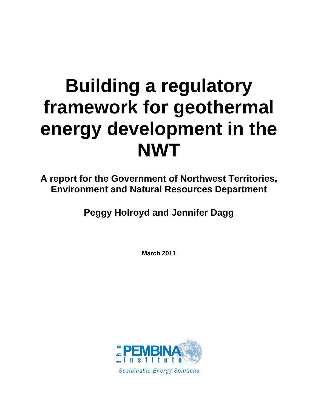## **Building a regulatory framework for geothermal energy development in the NWT**

**A report for the Government of Northwest Territories, Environment and Natural Resources Department** 

**Peggy Holroyd and Jennifer Dagg** 

**March 2011** 

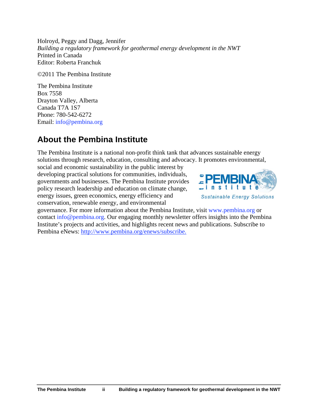Holroyd, Peggy and Dagg, Jennifer *Building a regulatory framework for geothermal energy development in the NWT*  Printed in Canada Editor: Roberta Franchuk

©2011 The Pembina Institute

The Pembina Institute Box 7558 Drayton Valley, Alberta Canada T7A 1S7 Phone: 780-542-6272 Email: info@pembina.org

## **About the Pembina Institute**

The Pembina Institute is a national non-profit think tank that advances sustainable energy solutions through research, education, consulting and advocacy. It promotes environmental,

social and economic sustainability in the public interest by developing practical solutions for communities, individuals, governments and businesses. The Pembina Institute provides policy research leadership and education on climate change, energy issues, green economics, energy efficiency and conservation, renewable energy, and environmental



governance. For more information about the Pembina Institute, visit www.pembina.org or contact info@pembina.org. Our engaging monthly newsletter offers insights into the Pembina Institute's projects and activities, and highlights recent news and publications. Subscribe to Pembina eNews: http://www.pembina.org/enews/subscribe.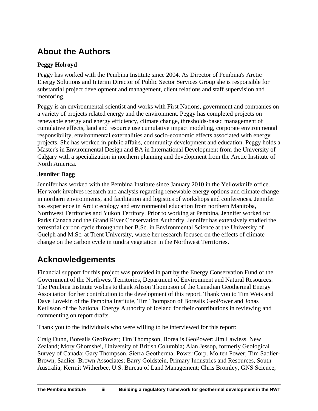## **About the Authors**

#### **Peggy Holroyd**

Peggy has worked with the Pembina Institute since 2004. As Director of Pembina's Arctic Energy Solutions and Interim Director of Public Sector Services Group she is responsible for substantial project development and management, client relations and staff supervision and mentoring.

Peggy is an environmental scientist and works with First Nations, government and companies on a variety of projects related energy and the environment. Peggy has completed projects on renewable energy and energy efficiency, climate change, thresholds-based management of cumulative effects, land and resource use cumulative impact modeling, corporate environmental responsibility, environmental externalities and socio-economic effects associated with energy projects. She has worked in public affairs, community development and education. Peggy holds a Master's in Environmental Design and BA in International Development from the University of Calgary with a specialization in northern planning and development from the Arctic Institute of North America.

#### **Jennifer Dagg**

Jennifer has worked with the Pembina Institute since January 2010 in the Yellowknife office. Her work involves research and analysis regarding renewable energy options and climate change in northern environments, and facilitation and logistics of workshops and conferences. Jennifer has experience in Arctic ecology and environmental education from northern Manitoba, Northwest Territories and Yukon Territory. Prior to working at Pembina, Jennifer worked for Parks Canada and the Grand River Conservation Authority. Jennifer has extensively studied the terrestrial carbon cycle throughout her B.Sc. in Environmental Science at the University of Guelph and M.Sc. at Trent University, where her research focused on the effects of climate change on the carbon cycle in tundra vegetation in the Northwest Territories.

## **Acknowledgements**

Financial support for this project was provided in part by the Energy Conservation Fund of the Government of the Northwest Territories, Department of Environment and Natural Resources. The Pembina Institute wishes to thank Alison Thompson of the Canadian Geothermal Energy Association for her contribution to the development of this report. Thank you to Tim Weis and Dave Lovekin of the Pembina Institute, Tim Thompson of Borealis GeoPower and Jonas Ketilsson of the National Energy Authority of Iceland for their contributions in reviewing and commenting on report drafts.

Thank you to the individuals who were willing to be interviewed for this report:

Craig Dunn, Borealis GeoPower; Tim Thompson, Borealis GeoPower; Jim Lawless, New Zealand; Mory Ghomshei, University of British Columbia; Alan Jessop, formerly Geological Survey of Canada; Gary Thompson, Sierra Geothermal Power Corp. Molten Power; Tim Sadlier-Brown, Sadlier–Brown Associates; Barry Goldstein, Primary Industries and Resources, South Australia; Kermit Witherbee, U.S. Bureau of Land Management; Chris Bromley, GNS Science,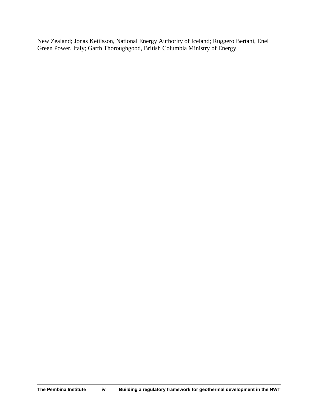New Zealand; Jonas Ketilsson, National Energy Authority of Iceland; Ruggero Bertani, Enel Green Power, Italy; Garth Thoroughgood, British Columbia Ministry of Energy.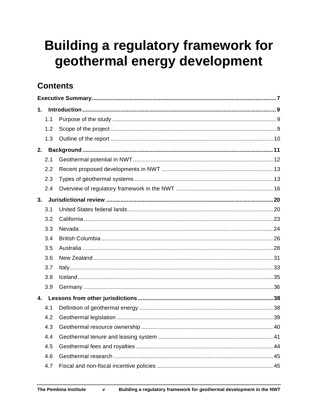## **Building a regulatory framework for** geothermal energy development

## **Contents**

|    | 1.  |  |  |  |
|----|-----|--|--|--|
|    | 1.1 |  |  |  |
|    | 1.2 |  |  |  |
|    | 1.3 |  |  |  |
| 2. |     |  |  |  |
|    | 2.1 |  |  |  |
|    | 2.2 |  |  |  |
|    | 2.3 |  |  |  |
|    | 2.4 |  |  |  |
| 3. |     |  |  |  |
|    | 3.1 |  |  |  |
|    | 3.2 |  |  |  |
|    | 3.3 |  |  |  |
|    | 3.4 |  |  |  |
|    | 3.5 |  |  |  |
|    | 3.6 |  |  |  |
|    | 3.7 |  |  |  |
|    | 3.8 |  |  |  |
|    | 3.9 |  |  |  |
|    |     |  |  |  |
|    | 4.1 |  |  |  |
|    | 4.2 |  |  |  |
|    |     |  |  |  |
|    | 4.4 |  |  |  |
|    | 4.5 |  |  |  |
|    | 4.6 |  |  |  |
|    | 4.7 |  |  |  |

 $\mathbf{v}$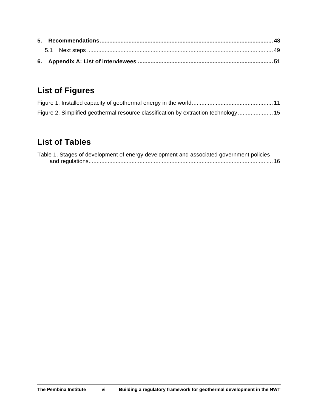## **List of Figures**

| Figure 2. Simplified geothermal resource classification by extraction technology 15 |  |
|-------------------------------------------------------------------------------------|--|

## **List of Tables**

| Table 1. Stages of development of energy development and associated government policies |  |
|-----------------------------------------------------------------------------------------|--|
|                                                                                         |  |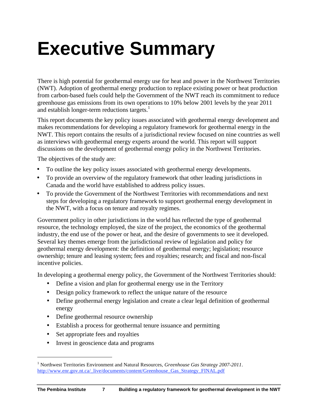## <span id="page-6-0"></span>**Executive Summary**

There is high potential for geothermal energy use for heat and power in the Northwest Territories (NWT). Adoption of geothermal energy production to replace existing power or heat production from carbon-based fuels could help the Government of the NWT reach its commitment to reduce greenhouse gas emissions from its own operations to 10% below 2001 levels by the year 2011 and establish longer-term reductions targets.<sup>1</sup>

This report documents the key policy issues associated with geothermal energy development and makes recommendations for developing a regulatory framework for geothermal energy in the NWT. This report contains the results of a jurisdictional review focused on nine countries as well as interviews with geothermal energy experts around the world. This report will support discussions on the development of geothermal energy policy in the Northwest Territories.

The objectives of the study are:

- To outline the key policy issues associated with geothermal energy developments.
- To provide an overview of the regulatory framework that other leading jurisdictions in Canada and the world have established to address policy issues.
- To provide the Government of the Northwest Territories with recommendations and next steps for developing a regulatory framework to support geothermal energy development in the NWT, with a focus on tenure and royalty regimes.

Government policy in other jurisdictions in the world has reflected the type of geothermal resource, the technology employed, the size of the project, the economics of the geothermal industry, the end use of the power or heat, and the desire of governments to see it developed. Several key themes emerge from the jurisdictional review of legislation and policy for geothermal energy development: the definition of geothermal energy; legislation; resource ownership; tenure and leasing system; fees and royalties; research; and fiscal and non-fiscal incentive policies.

In developing a geothermal energy policy, the Government of the Northwest Territories should:

- Define a vision and plan for geothermal energy use in the Territory
- Design policy framework to reflect the unique nature of the resource
- Define geothermal energy legislation and create a clear legal definition of geothermal energy
- Define geothermal resource ownership
- Establish a process for geothermal tenure issuance and permitting
- Set appropriate fees and royalties
- Invest in geoscience data and programs

1

<sup>1</sup> Northwest Territories Environment and Natural Resources, *Greenhouse Gas Strategy 2007-2011*. http://www.enr.gov.nt.ca/\_live/documents/content/Greenhouse\_Gas\_Strategy\_FINAL.pdf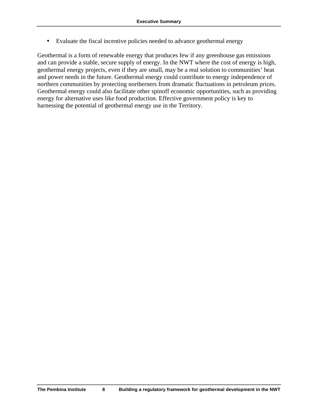• Evaluate the fiscal incentive policies needed to advance geothermal energy

Geothermal is a form of renewable energy that produces few if any greenhouse gas emissions and can provide a stable, secure supply of energy. In the NWT where the cost of energy is high, geothermal energy projects, even if they are small, may be a real solution to communities' heat and power needs in the future. Geothermal energy could contribute to energy independence of northern communities by protecting northerners from dramatic fluctuations in petroleum prices. Geothermal energy could also facilitate other spinoff economic opportunities, such as providing energy for alternative uses like food production. Effective government policy is key to harnessing the potential of geothermal energy use in the Territory.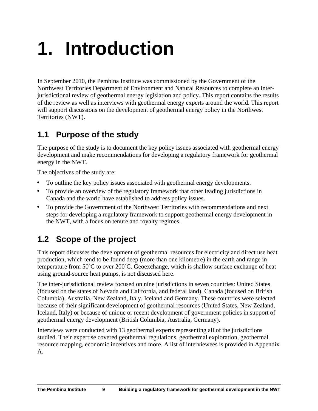## <span id="page-8-0"></span>**1. Introduction**

In September 2010, the Pembina Institute was commissioned by the Government of the Northwest Territories Department of Environment and Natural Resources to complete an interjurisdictional review of geothermal energy legislation and policy. This report contains the results of the review as well as interviews with geothermal energy experts around the world. This report will support discussions on the development of geothermal energy policy in the Northwest Territories (NWT).

## **1.1 Purpose of the study**

The purpose of the study is to document the key policy issues associated with geothermal energy development and make recommendations for developing a regulatory framework for geothermal energy in the NWT.

The objectives of the study are:

- To outline the key policy issues associated with geothermal energy developments.
- To provide an overview of the regulatory framework that other leading jurisdictions in Canada and the world have established to address policy issues.
- To provide the Government of the Northwest Territories with recommendations and next steps for developing a regulatory framework to support geothermal energy development in the NWT, with a focus on tenure and royalty regimes.

## **1.2 Scope of the project**

This report discusses the development of geothermal resources for electricity and direct use heat production, which tend to be found deep (more than one kilometre) in the earth and range in temperature from 50ºC to over 200ºC. Geoexchange, which is shallow surface exchange of heat using ground-source heat pumps, is not discussed here.

The inter-jurisdictional review focused on nine jurisdictions in seven countries: United States (focused on the states of Nevada and California, and federal land), Canada (focused on British Columbia), Australia, New Zealand, Italy, Iceland and Germany. These countries were selected because of their significant development of geothermal resources (United States, New Zealand, Iceland, Italy) or because of unique or recent development of government policies in support of geothermal energy development (British Columbia, Australia, Germany).

Interviews were conducted with 13 geothermal experts representing all of the jurisdictions studied. Their expertise covered geothermal regulations, geothermal exploration, geothermal resource mapping, economic incentives and more. A list of interviewees is provided in Appendix A.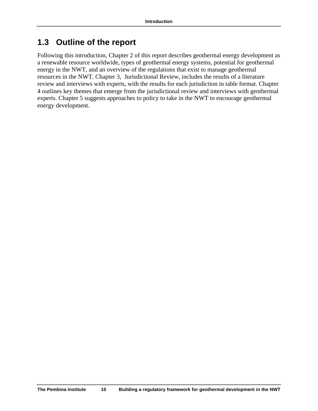## <span id="page-9-0"></span>**1.3 Outline of the report**

Following this introduction, Chapter 2 of this report describes geothermal energy development as a renewable resource worldwide, types of geothermal energy systems, potential for geothermal energy in the NWT, and an overview of the regulations that exist to manage geothermal resources in the NWT. Chapter 3, Jurisdictional Review, includes the results of a literature review and interviews with experts, with the results for each jurisdiction in table format. Chapter 4 outlines key themes that emerge from the jurisdictional review and interviews with geothermal experts. Chapter 5 suggests approaches to policy to take in the NWT to encourage geothermal energy development.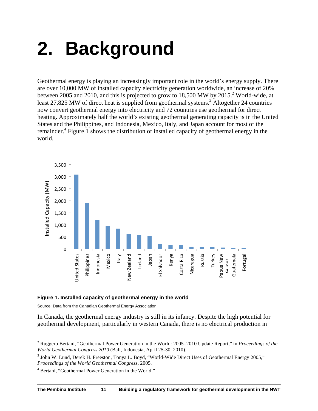## <span id="page-10-0"></span>**2. Background**

Geothermal energy is playing an increasingly important role in the world's energy supply. There are over 10,000 MW of installed capacity electricity generation worldwide, an increase of 20% between 2005 and 2010, and this is projected to grow to 18,500 MW by 2015.<sup>2</sup> World-wide, at least 27,825 MW of direct heat is supplied from geothermal systems.<sup>3</sup> Altogether 24 countries now convert geothermal energy into electricity and 72 countries use geothermal for direct heating. Approximately half the world's existing geothermal generating capacity is in the United States and the Philippines, and Indonesia, Mexico, Italy, and Japan account for most of the remainder.<sup>4</sup> Figure 1 shows the distribution of installed capacity of geothermal energy in the world.



#### **Figure 1. Installed capacity of geothermal energy in the world**

Source: Data from the Canadian Geothermal Energy Association

 $\overline{a}$ 

In Canada, the geothermal energy industry is still in its infancy. Despite the high potential for geothermal development, particularly in western Canada, there is no electrical production in

<sup>2</sup> Ruggero Bertani, "Geothermal Power Generation in the World: 2005–2010 Update Report," in *Proceedings of the World Geothermal Congress 2010* (Bali, Indonesia, April 25-30, 2010).

<sup>&</sup>lt;sup>3</sup> John W. Lund, Derek H. Freeston, Tonya L. Boyd, "World-Wide Direct Uses of Geothermal Energy 2005," *Proceedings of the World Geothermal Congress*, 2005.

<sup>4</sup> Bertani, "Geothermal Power Generation in the World."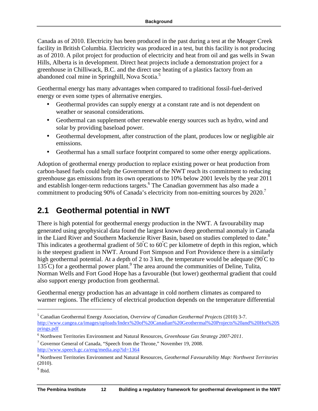<span id="page-11-0"></span>Canada as of 2010. Electricity has been produced in the past during a test at the Meager Creek facility in British Columbia. Electricity was produced in a test, but this facility is not producing as of 2010. A pilot project for production of electricity and heat from oil and gas wells in Swan Hills, Alberta is in development. Direct heat projects include a demonstration project for a greenhouse in Chilliwack, B.C. and the direct use heating of a plastics factory from an abandoned coal mine in Springhill, Nova Scotia.<sup>5</sup>

Geothermal energy has many advantages when compared to traditional fossil-fuel-derived energy or even some types of alternative energies.

- Geothermal provides can supply energy at a constant rate and is not dependent on weather or seasonal considerations.
- Geothermal can supplement other renewable energy sources such as hydro, wind and solar by providing baseload power.
- Geothermal development, after construction of the plant, produces low or negligible air emissions.
- Geothermal has a small surface footprint compared to some other energy applications.

Adoption of geothermal energy production to replace existing power or heat production from carbon-based fuels could help the Government of the NWT reach its commitment to reducing greenhouse gas emissions from its own operations to 10% below 2001 levels by the year 2011 and establish longer-term reductions targets.<sup>6</sup> The Canadian government has also made a commitment to producing 90% of Canada's electricity from non-emitting sources by 2020.<sup>7</sup>

## **2.1 Geothermal potential in NWT**

There is high potential for geothermal energy production in the NWT. A favourability map generated using geophysical data found the largest known deep geothermal anomaly in Canada in the Liard River and Southern Mackenzie River Basin, based on studies completed to date.<sup>8</sup> This indicates a geothermal gradient of  $50^{\circ}$ C to  $60^{\circ}$ C per kilometre of depth in this region, which is the steepest gradient in NWT. Around Fort Simpson and Fort Providence there is a similarly high geothermal potential. At a depth of 2 to 3 km, the temperature would be adequate ( $90^{\circ}$ C to 135°C) for a geothermal power plant.<sup>9</sup> The area around the communities of Deline, Tulita, Norman Wells and Fort Good Hope has a favourable (but lower) geothermal gradient that could also support energy production from geothermal.

Geothermal energy production has an advantage in cold northern climates as compared to warmer regions. The efficiency of electrical production depends on the temperature differential

<u>.</u>

<sup>5</sup> Canadian Geothermal Energy Association, *Overview of Canadian Geothermal Projects* (2010) 3-7. http://www.cangea.ca/images/uploads/Index%20of%20Canadian%20Geothermal%20Projects%20and%20Hot%20S prings.pdf

<sup>&</sup>lt;sup>6</sup> Northwest Territories Environment and Natural Resources, *Greenhouse Gas Strategy 2007-2011*.<br><sup>7</sup> Geyerner General of Canada. "Speech from the Throne." Neuember 10, 2008.

<sup>&</sup>lt;sup>7</sup> Governor General of Canada, "Speech from the Throne," November 19, 2008. http://www.speech.gc.ca/eng/media.asp?id=1364

<sup>8</sup> Northwest Territories Environment and Natural Resources, *Geothermal Favourability Map: Northwest Territories* (2010).

<sup>&</sup>lt;sup>9</sup> Ibid.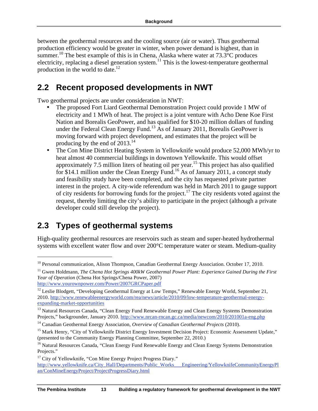<span id="page-12-0"></span>between the geothermal resources and the cooling source (air or water). Thus geothermal production efficiency would be greater in winter, when power demand is highest, than in summer.<sup>10</sup> The best example of this is in Chena, Alaska where water at 73.3°C produces electricity, replacing a diesel generation system.<sup>11</sup> This is the lowest-temperature geothermal production in the world to date.<sup>12</sup>

#### **2.2 Recent proposed developments in NWT**

Two geothermal projects are under consideration in NWT:

- The proposed Fort Liard Geothermal Demonstration Project could provide 1 MW of electricity and 1 MWh of heat. The project is a joint venture with Acho Dene Koe First Nation and Borealis GeoPower, and has qualified for \$10-20 million dollars of funding under the Federal Clean Energy Fund.<sup>13</sup> As of January 2011, Borealis GeoPower is moving forward with project development, and estimates that the project will be producing by the end of  $2013.<sup>14</sup>$
- The Con Mine District Heating System in Yellowknife would produce 52,000 MWh/yr to heat almost 40 commercial buildings in downtown Yellowknife. This would offset approximately 7.5 million liters of heating oil per year.<sup>15</sup> This project has also qualified for \$14.1 million under the Clean Energy Fund.16 As of January 2011, a concept study and feasibility study have been completed, and the city has requested private partner interest in the project. A city-wide referendum was held in March 2011 to gauge support of city residents for borrowing funds for the project.<sup>17</sup> The city residents voted against the request, thereby limiting the city's ability to participate in the project (although a private developer could still develop the project).

### **2.3 Types of geothermal systems**

High-quality geothermal resources are reservoirs such as steam and super-heated hydrothermal systems with excellent water flow and over 200°C temperature water or steam. Medium-quality

<sup>11</sup> Gwen Holdmann, *The Chena Hot Springs 400kW Geothermal Power Plant: Experience Gained During the First Year of Operation* (Chena Hot Springs/Chena Power, 2007)

http://www.yourownpower.com/Power/2007GRCPaper.pdf

<sup>&</sup>lt;sup>10</sup> Personal communication, Alison Thompson, Canadian Geothermal Energy Association. October 17, 2010.

<sup>&</sup>lt;sup>12</sup> Leslie Blodgett, "Developing Geothermal Energy at Low Temps," Renewable Energy World, September 21, 2010. http://www.renewableenergyworld.com/rea/news/article/2010/09/low-temperature-geothermal-energyexpanding-market-opportunities

<sup>&</sup>lt;sup>13</sup> Natural Resources Canada, "Clean Energy Fund Renewable Energy and Clean Energy Systems Demonstration Projects," backgrounder, January 2010. http://www.nrcan-rncan.gc.ca/media/newcom/2010/201001a-eng.php

<sup>14</sup> Canadian Geothermal Energy Association, *Overview of Canadian Geothermal Projects* (2010).

<sup>&</sup>lt;sup>15</sup> Mark Henry, "City of Yellowknife District Energy Investment Decision Project: Economic Assessment Update," (presented to the Community Energy Planning Committee, September 22, 2010.)

<sup>&</sup>lt;sup>16</sup> Natural Resources Canada, "Clean Energy Fund Renewable Energy and Clean Energy Systems Demonstration Projects."

 $17$  City of Yellowknife, "Con Mine Energy Project Progress Diary." http://www.yellowknife.ca/City\_Hall/Departments/Public\_Works\_\_\_Engineering/YellowknifeCommunityEnergyPl an/ConMineEnergyProject/ProjectProgressDiary.html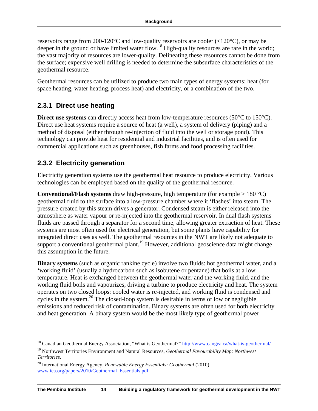reservoirs range from 200-120°C and low-quality reservoirs are cooler (<120°C), or may be deeper in the ground or have limited water flow.<sup>18</sup> High-quality resources are rare in the world; the vast majority of resources are lower-quality. Delineating these resources cannot be done from the surface; expensive well drilling is needed to determine the subsurface characteristics of the geothermal resource.

Geothermal resources can be utilized to produce two main types of energy systems: heat (for space heating, water heating, process heat) and electricity, or a combination of the two.

#### **2.3.1 Direct use heating**

**Direct use systems** can directly access heat from low-temperature resources (50°C to 150°C). Direct use heat systems require a source of heat (a well), a system of delivery (piping) and a method of disposal (either through re-injection of fluid into the well or storage pond). This technology can provide heat for residential and industrial facilities, and is often used for commercial applications such as greenhouses, fish farms and food processing facilities.

#### **2.3.2 Electricity generation**

 $\overline{a}$ 

Electricity generation systems use the geothermal heat resource to produce electricity. Various technologies can be employed based on the quality of the geothermal resource.

**Conventional/Flash systems** draw high-pressure, high temperature (for example > 180 °C) geothermal fluid to the surface into a low-pressure chamber where it 'flashes' into steam. The pressure created by this steam drives a generator. Condensed steam is either released into the atmosphere as water vapour or re-injected into the geothermal reservoir. In dual flash systems fluids are passed through a separator for a second time, allowing greater extraction of heat. These systems are most often used for electrical generation, but some plants have capability for integrated direct uses as well. The geothermal resources in the NWT are likely not adequate to support a conventional geothermal plant.<sup>19</sup> However, additional geoscience data might change this assumption in the future.

**Binary systems** (such as organic rankine cycle) involve two fluids: hot geothermal water, and a 'working fluid' (usually a hydrocarbon such as isobutene or pentane) that boils at a low temperature. Heat is exchanged between the geothermal water and the working fluid, and the working fluid boils and vapourizes, driving a turbine to produce electricity and heat. The system operates on two closed loops: cooled water is re-injected, and working fluid is condensed and cycles in the system.<sup>20</sup> The closed-loop system is desirable in terms of low or negligible emissions and reduced risk of contamination. Binary systems are often used for both electricity and heat generation. A binary system would be the most likely type of geothermal power

<sup>&</sup>lt;sup>18</sup> Canadian Geothermal Energy Association, "What is Geothermal?" http://www.cangea.ca/what-is-geothermal/ <sup>19</sup> Northwest Territories Environment and Natural Resources, *Geothermal Favourability Map: Northwest* 

*Territories*.

<sup>20</sup> International Energy Agency, *Renewable Energy Essentials: Geothermal* (2010). www.iea.org/papers/2010/Geothermal\_Essentials.pdf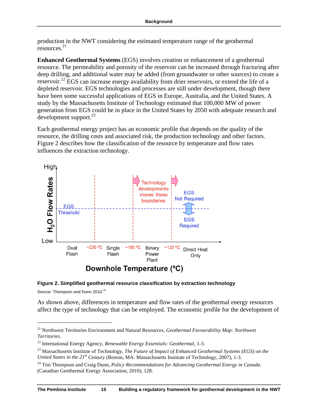<span id="page-14-0"></span>production in the NWT considering the estimated temperature range of the geothermal resources.21

**Enhanced Geothermal Systems** (EGS) involves creation or enhancement of a geothermal resource. The permeability and porosity of the reservoir can be increased through fracturing after deep drilling, and additional water may be added (from groundwater or other sources) to create a reservoir.<sup>22</sup> EGS can increase energy availability from drier reservoirs, or extend the life of a depleted reservoir. EGS technologies and processes are still under development, though there have been some successful applications of EGS in Europe, Australia, and the United States. A study by the Massachusetts Institute of Technology estimated that 100,000 MW of power generation from EGS could be in place in the United States by 2050 with adequate research and development support. $^{23}$ 

Each geothermal energy project has an economic profile that depends on the quality of the resource, the drilling costs and associated risk, the production technology and other factors. Figure 2 describes how the classification of the resource by temperature and flow rates influences the extraction technology.





Source: Thompson and Dunn 2010.<sup>24</sup>

 $\overline{a}$ 

As shown above, differences in temperature and flow rates of the geothermal energy resources affect the type of technology that can be employed. The economic profile for the development of

<sup>21</sup> Northwest Territories Environment and Natural Resources, *Geothermal Favourability Map: Northwest Territories*.

<sup>&</sup>lt;sup>22</sup> International Energy Agency, *Renewable Energy Essentials: Geothermal*, 1-3.<br><sup>23</sup> Massachusetts Institute of Technology, *The Future of Impact of Enhanced Geothermal Systems (EGS) on the United States in the 21st Century* (Boston, MA: Massachusetts Institute of Technology, 2007), 1-3.

<sup>24</sup> Tim Thompson and Craig Dunn, *Policy Recommendations for Advancing Geothermal Energy in Canada*. (Canadian Geothermal Energy Association, 2010), 128.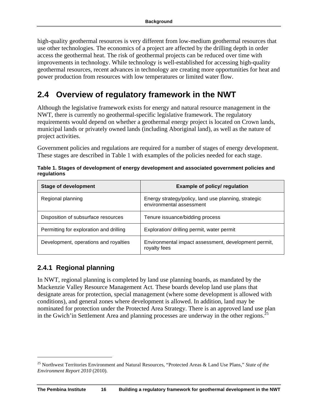<span id="page-15-0"></span>high-quality geothermal resources is very different from low-medium geothermal resources that use other technologies. The economics of a project are affected by the drilling depth in order access the geothermal heat. The risk of geothermal projects can be reduced over time with improvements in technology. While technology is well-established for accessing high-quality geothermal resources, recent advances in technology are creating more opportunities for heat and power production from resources with low temperatures or limited water flow.

## **2.4 Overview of regulatory framework in the NWT**

Although the legislative framework exists for energy and natural resource management in the NWT, there is currently no geothermal-specific legislative framework. The regulatory requirements would depend on whether a geothermal energy project is located on Crown lands, municipal lands or privately owned lands (including Aboriginal land), as well as the nature of project activities.

Government policies and regulations are required for a number of stages of energy development. These stages are described in Table 1 with examples of the policies needed for each stage.

| <b>Stage of development</b>             | <b>Example of policy/ regulation</b>                                             |
|-----------------------------------------|----------------------------------------------------------------------------------|
| Regional planning                       | Energy strategy/policy, land use planning, strategic<br>environmental assessment |
| Disposition of subsurface resources     | Tenure issuance/bidding process                                                  |
| Permitting for exploration and drilling | Exploration/ drilling permit, water permit                                       |
| Development, operations and royalties   | Environmental impact assessment, development permit,<br>royalty fees             |

**Table 1. Stages of development of energy development and associated government policies and regulations** 

#### **2.4.1 Regional planning**

1

In NWT, regional planning is completed by land use planning boards, as mandated by the Mackenzie Valley Resource Management Act. These boards develop land use plans that designate areas for protection, special management (where some development is allowed with conditions), and general zones where development is allowed. In addition, land may be nominated for protection under the Protected Area Strategy. There is an approved land use plan in the Gwich'in Settlement Area and planning processes are underway in the other regions.<sup>25</sup>

<sup>25</sup> Northwest Territories Environment and Natural Resources, "Protected Areas & Land Use Plans," *State of the Environment Report 2010* (2010).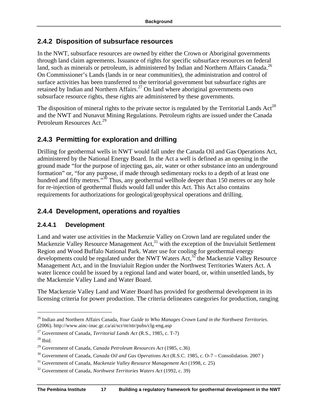#### **2.4.2 Disposition of subsurface resources**

In the NWT, subsurface resources are owned by either the Crown or Aboriginal governments through land claim agreements. Issuance of rights for specific subsurface resources on federal land, such as minerals or petroleum, is administered by Indian and Northern Affairs Canada.<sup>26</sup> On Commissioner's Lands (lands in or near communities), the administration and control of surface activities has been transferred to the territorial government but subsurface rights are retained by Indian and Northern Affairs.<sup>27</sup> On land where aboriginal governments own subsurface resource rights, these rights are administered by these governments.

The disposition of mineral rights to the private sector is regulated by the Territorial Lands  $Act^{28}$ and the NWT and Nunavut Mining Regulations. Petroleum rights are issued under the Canada Petroleum Resources Act.<sup>29</sup>

#### **2.4.3 Permitting for exploration and drilling**

Drilling for geothermal wells in NWT would fall under the Canada Oil and Gas Operations Act, administered by the National Energy Board. In the Act a well is defined as an opening in the ground made "for the purpose of injecting gas, air, water or other substance into an underground formation" or, "for any purpose, if made through sedimentary rocks to a depth of at least one hundred and fifty metres."<sup>30</sup> Thus, any geothermal wellhole deeper than 150 metres or any hole for re-injection of geothermal fluids would fall under this Act. This Act also contains requirements for authorizations for geological/geophysical operations and drilling.

#### **2.4.4 Development, operations and royalties**

#### **2.4.4.1 Development**

Land and water use activities in the Mackenzie Valley on Crown land are regulated under the Mackenzie Valley Resource Management  $Act<sub>1</sub><sup>31</sup>$  with the exception of the Inuvialuit Settlement Region and Wood Buffalo National Park. Water use for cooling for geothermal energy developments could be regulated under the NWT Waters Act,  $32$  the Mackenzie Valley Resource Management Act, and in the Inuvialuit Region under the Northwest Territories Waters Act. A water licence could be issued by a regional land and water board, or, within unsettled lands, by the Mackenzie Valley Land and Water Board.

The Mackenzie Valley Land and Water Board has provided for geothermal development in its licensing criteria for power production. The criteria delineates categories for production, ranging

1

<sup>26</sup> Indian and Northern Affairs Canada, *Your Guide to Who Manages Crown Land in the Northwest Territories*. (2006). http://www.ainc-inac.gc.ca/ai/scr/nt/ntr/pubs/clg-eng.asp

<sup>27</sup> Government of Canada, *Territorial Lands Act* (R.S., 1985, c. T-7)

 $28$  Ibid.

<sup>29</sup> Government of Canada, *Canada Petroleum Resources Act* (1985, c.36)

<sup>&</sup>lt;sup>30</sup> Government of Canada, *Canada Oil and Gas Operations Act* (R.S.C. 1985, c. O-7 – Consolidation. 2007) <sup>31</sup> Government of Canada, *Mackenzie Valley Resource Management Act* (1998, c. 25)

<sup>32</sup> Government of Canada, *Northwest Territories Waters Act* (1992, c. 39)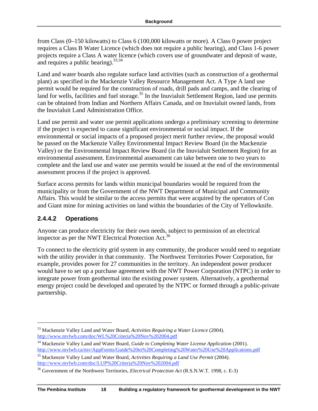from Class (0–150 kilowatts) to Class 6 (100,000 kilowatts or more). A Class 0 power project requires a Class B Water Licence (which does not require a public hearing), and Class 1-6 power projects require a Class A water licence (which covers use of groundwater and deposit of waste, and requires a public hearing).  $33,34$ 

Land and water boards also regulate surface land activities (such as construction of a geothermal plant) as specified in the Mackenzie Valley Resource Management Act. A Type A land use permit would be required for the construction of roads, drill pads and camps, and the clearing of land for wells, facilities and fuel storage.<sup>35</sup> In the Inuvialuit Settlement Region, land use permits can be obtained from Indian and Northern Affairs Canada, and on Inuvialuit owned lands, from the Inuvialuit Land Administration Office.

Land use permit and water use permit applications undergo a preliminary screening to determine if the project is expected to cause significant environmental or social impact. If the environmental or social impacts of a proposed project merit further review, the proposal would be passed on the Mackenzie Valley Environmental Impact Review Board (in the Mackenzie Valley) or the Environmental Impact Review Board (in the Inuvialuit Settlement Region) for an environmental assessment. Environmental assessment can take between one to two years to complete and the land use and water use permits would be issued at the end of the environmental assessment process if the project is approved.

Surface access permits for lands within municipal boundaries would be required from the municipality or from the Government of the NWT Department of Municipal and Community Affairs. This would be similar to the access permits that were acquired by the operators of Con and Giant mine for mining activities on land within the boundaries of the City of Yellowknife.

#### **2.4.4.2 Operations**

<u>.</u>

Anyone can produce electricity for their own needs, subject to permission of an electrical inspector as per the NWT Electrical Protection Act.<sup>36</sup>

To connect to the electricity grid system in any community, the producer would need to negotiate with the utility provider in that community. The Northwest Territories Power Corporation, for example, provides power for 27 communities in the territory. An independent power producer would have to set up a purchase agreement with the NWT Power Corporation (NTPC) in order to integrate power from geothermal into the existing power system. Alternatively, a geothermal energy project could be developed and operated by the NTPC or formed through a public-private partnership.

<sup>33</sup> Mackenzie Valley Land and Water Board, *Activities Requiring a Water Licence* (2004). http://www.mvlwb.com/doc/WL%20Criteria%20Nov%202004.pdf

<sup>34</sup> Mackenzie Valley Land and Water Board, *Guide to Completing Water License Application* (2001). http://www.mvlwb.ca/mv/AppForms/Guide%20to%20Completing%20Water%20Use%20Applications.pdf

<sup>35</sup> Mackenzie Valley Land and Water Board, *Activities Requiring a Land Use Permit* (2004). http://www.mvlwb.com/doc/LUP%20Criteria%20Nov%202004.pdf

<sup>36</sup> Government of the Northwest Territories, *Electrical Protection Act* (R.S.N.W.T. 1998, c. E-3)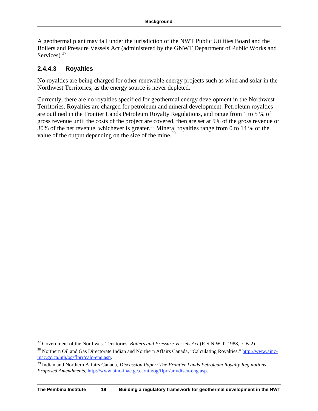A geothermal plant may fall under the jurisdiction of the NWT Public Utilities Board and the Boilers and Pressure Vessels Act (administered by the GNWT Department of Public Works and Services).<sup>37</sup>

#### **2.4.4.3 Royalties**

 $\overline{a}$ 

No royalties are being charged for other renewable energy projects such as wind and solar in the Northwest Territories, as the energy source is never depleted.

Currently, there are no royalties specified for geothermal energy development in the Northwest Territories. Royalties are charged for petroleum and mineral development. Petroleum royalties are outlined in the Frontier Lands Petroleum Royalty Regulations, and range from 1 to 5 % of gross revenue until the costs of the project are covered, then are set at 5% of the gross revenue or 30% of the net revenue, whichever is greater.<sup>38</sup> Mineral royalties range from 0 to 14 % of the value of the output depending on the size of the mine.<sup>39</sup>

<sup>&</sup>lt;sup>37</sup> Government of the Northwest Territories, *Boilers and Pressure Vessels Act* (R.S.N.W.T. 1988, c. B-2)<br><sup>38</sup> Northern Oil and Gas Directorate Indian and Northern Affairs Canada, "Calculating Royalties," http://www.aincinac.gc.ca/nth/og/flprr/calc-eng.asp.

<sup>39</sup> Indian and Northern Affairs Canada, *Discussion Paper: The Frontier Lands Petroleum Royalty Regulations, Proposed Amendments,* http://www.ainc-inac.gc.ca/nth/og/flprr/am/discu-eng.asp.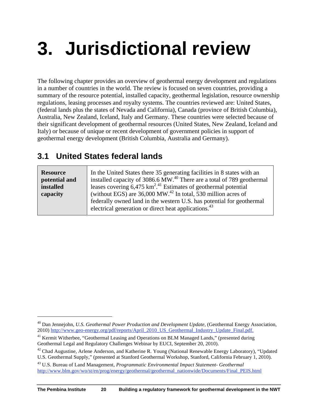# <span id="page-19-0"></span>**3. Jurisdictional review**

The following chapter provides an overview of geothermal energy development and regulations in a number of countries in the world. The review is focused on seven countries, providing a summary of the resource potential, installed capacity, geothermal legislation, resource ownership regulations, leasing processes and royalty systems. The countries reviewed are: United States, (federal lands plus the states of Nevada and California), Canada (province of British Columbia), Australia, New Zealand, Iceland, Italy and Germany. These countries were selected because of their significant development of geothermal resources (United States, New Zealand, Iceland and Italy) or because of unique or recent development of government policies in support of geothermal energy development (British Columbia, Australia and Germany).

## **3.1 United States federal lands**

| <b>Resource</b><br>potential and<br>installed<br>capacity | In the United States there 35 generating facilities in 8 states with an<br>installed capacity of 3086.6 MW. <sup>40</sup> There are a total of 789 geothermal<br>leases covering $6,475 \text{ km}^2$ . <sup>41</sup> Estimates of geothermal potential<br>(without EGS) are $36,000$ MW. <sup>42</sup> In total, 530 million acres of<br>federally owned land in the western U.S. has potential for geothermal |
|-----------------------------------------------------------|-----------------------------------------------------------------------------------------------------------------------------------------------------------------------------------------------------------------------------------------------------------------------------------------------------------------------------------------------------------------------------------------------------------------|
|                                                           | electrical generation or direct heat applications. <sup>43</sup>                                                                                                                                                                                                                                                                                                                                                |

<sup>40</sup> Dan Jennejohn, *U.S. Geothermal Power Production and Development Update,* (Geothermal Energy Association, 2010) http://www.geo-energy.org/pdf/reports/April\_2010\_US\_Geothermal\_Industry\_Update\_Final.pdf.

<sup>&</sup>lt;sup>41</sup> Kermit Witherbee, "Geothermal Leasing and Operations on BLM Managed Lands," (presented during Geothermal Legal and Regulatory Challenges Webinar by EUCI, September 20, 2010).

<sup>&</sup>lt;sup>42</sup> Chad Augustine, Arlene Anderson, and Katherine R. Young (National Renewable Energy Laboratory), "Updated U.S. Geothermal Supply," (presented at Stanford Geothermal Workshop, Stanford, California February 1, 2010).

<sup>43</sup> U.S. Bureau of Land Management, *Programmatic Environmental Impact Statement- Geothermal* http://www.blm.gov/wo/st/en/prog/energy/geothermal/geothermal\_nationwide/Documents/Final\_PEIS.html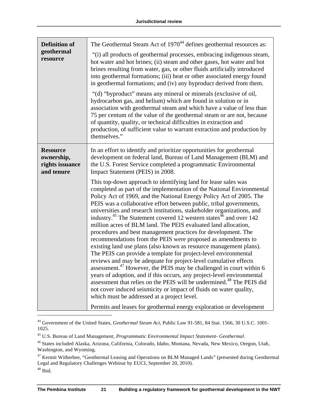| <b>Definition of</b><br>geothermal<br>resource                 | The Geothermal Steam Act of $1970^{44}$ defines geothermal resources as:<br>"(i) all products of geothermal processes, embracing indigenous steam,<br>hot water and hot brines; (ii) steam and other gases, hot water and hot<br>brines resulting from water, gas, or other fluids artificially introduced<br>into geothermal formations; (iii) heat or other associated energy found<br>in geothermal formations; and (iv) any byproduct derived from them.<br>"(d) "byproduct" means any mineral or minerals (exclusive of oil,<br>hydrocarbon gas, and helium) which are found in solution or in<br>association with geothermal steam and which have a value of less than<br>75 per centum of the value of the geothermal steam or are not, because<br>of quantity, quality, or technical difficulties in extraction and<br>production, of sufficient value to warrant extraction and production by<br>themselves."                                                                                                                                                                                                                                                                                                                                                                                                                                                                                                                                                                                                                                                        |
|----------------------------------------------------------------|-------------------------------------------------------------------------------------------------------------------------------------------------------------------------------------------------------------------------------------------------------------------------------------------------------------------------------------------------------------------------------------------------------------------------------------------------------------------------------------------------------------------------------------------------------------------------------------------------------------------------------------------------------------------------------------------------------------------------------------------------------------------------------------------------------------------------------------------------------------------------------------------------------------------------------------------------------------------------------------------------------------------------------------------------------------------------------------------------------------------------------------------------------------------------------------------------------------------------------------------------------------------------------------------------------------------------------------------------------------------------------------------------------------------------------------------------------------------------------------------------------------------------------------------------------------------------------|
| <b>Resource</b><br>ownership,<br>rights issuance<br>and tenure | In an effort to identify and prioritize opportunities for geothermal<br>development on federal land, Bureau of Land Management (BLM) and<br>the U.S. Forest Service completed a programmatic Environmental<br>Impact Statement (PEIS) in 2008.<br>This top-down approach to identifying land for lease sales was<br>completed as part of the implementation of the National Environmental<br>Policy Act of 1969, and the National Energy Policy Act of 2005. The<br>PEIS was a collaborative effort between public, tribal governments,<br>universities and research institutions, stakeholder organizations, and<br>industry. <sup>45</sup> The Statement covered 12 western states <sup>46</sup> and over 142<br>million acres of BLM land. The PEIS evaluated land allocation,<br>procedures and best management practices for development. The<br>recommendations from the PEIS were proposed as amendments to<br>existing land use plans (also known as resource management plans).<br>The PEIS can provide a template for project-level environmental<br>reviews and may be adequate for project-level cumulative effects<br>assessment. <sup>47</sup> However, the PEIS may be challenged in court within 6<br>years of adoption, and if this occurs, any project-level environmental<br>assessment that relies on the PEIS will be undermined. <sup>48</sup> The PEIS did<br>not cover induced seismicity or impact of fluids on water quality,<br>which must be addressed at a project level.<br>Permits and leases for geothermal energy exploration or development |

<sup>44</sup> Government of the United States, *Geothermal Steam Act,* Public Law 91-581, 84 Stat. 1566, 30 U.S.C. 1001- 1025.

<sup>&</sup>lt;sup>45</sup> U.S. Bureau of Land Management, *Programmatic Environmental Impact Statement- Geothermal*.<br><sup>46</sup> States included Alaska, Arizona, California, Colorado, Idaho, Montana, Nevada, New Mexico, Oregon, Utah, Washington, and Wyoming.

<sup>&</sup>lt;sup>47</sup> Kermit Witherbee, "Geothermal Leasing and Operations on BLM Managed Lands" (presented during Geothermal Legal and Regulatory Challenges Webinar by EUCI, September 20, 2010).  $48$  Ibid.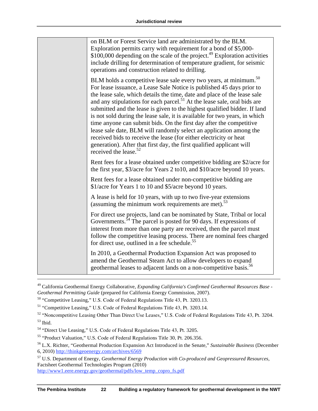| on BLM or Forest Service land are administrated by the BLM.<br>Exploration permits carry with requirement for a bond of \$5,000-<br>\$100,000 depending on the scale of the project. <sup>49</sup> Exploration activities<br>include drilling for determination of temperature gradient, for seismic<br>operations and construction related to drilling.                                                                                                                                                                                                                                                                                                                                                                                                                                                               |
|------------------------------------------------------------------------------------------------------------------------------------------------------------------------------------------------------------------------------------------------------------------------------------------------------------------------------------------------------------------------------------------------------------------------------------------------------------------------------------------------------------------------------------------------------------------------------------------------------------------------------------------------------------------------------------------------------------------------------------------------------------------------------------------------------------------------|
| BLM holds a competitive lease sale every two years, at minimum. <sup>50</sup><br>For lease issuance, a Lease Sale Notice is published 45 days prior to<br>the lease sale, which details the time, date and place of the lease sale<br>and any stipulations for each parcel. <sup>51</sup> At the lease sale, oral bids are<br>submitted and the lease is given to the highest qualified bidder. If land<br>is not sold during the lease sale, it is available for two years, in which<br>time anyone can submit bids. On the first day after the competitive<br>lease sale date, BLM will randomly select an application among the<br>received bids to receive the lease (for either electricity or heat<br>generation). After that first day, the first qualified applicant will<br>received the lease. <sup>52</sup> |
| Rent fees for a lease obtained under competitive bidding are \$2/acre for<br>the first year, \$3/acre for Years 2 to 10, and \$10/acre beyond 10 years.                                                                                                                                                                                                                                                                                                                                                                                                                                                                                                                                                                                                                                                                |
| Rent fees for a lease obtained under non-competitive bidding are<br>\$1/acre for Years 1 to 10 and \$5/acre beyond 10 years.                                                                                                                                                                                                                                                                                                                                                                                                                                                                                                                                                                                                                                                                                           |
| A lease is held for 10 years, with up to two five-year extensions<br>(assuming the minimum work requirements are met). <sup>53</sup>                                                                                                                                                                                                                                                                                                                                                                                                                                                                                                                                                                                                                                                                                   |
| For direct use projects, land can be nominated by State, Tribal or local<br>Governments. <sup>54</sup> The parcel is posted for 90 days. If expressions of<br>interest from more than one party are received, then the parcel must<br>follow the competitive leasing process. There are nominal fees charged<br>for direct use, outlined in a fee schedule. <sup>55</sup>                                                                                                                                                                                                                                                                                                                                                                                                                                              |
| In 2010, a Geothermal Production Expansion Act was proposed to<br>amend the Geothermal Steam Act to allow developers to expand<br>geothermal leases to adjacent lands on a non-competitive basis. <sup>56</sup>                                                                                                                                                                                                                                                                                                                                                                                                                                                                                                                                                                                                        |

 49 California Geothermal Energy Collaborative, *Expanding California's Confirmed Geothermal Resources Base - Geothermal Permitting Guide* (prepared for California Energy Commission, 2007).

<sup>50</sup> "Competitive Leasing," U.S. Code of Federal Regulations Title 43, Pt. 3203.13.

51 "Competitive Leasing," U.S. Code of Federal Regulations Title 43, Pt. 3203.14.

52 "Noncompetitive Leasing Other Than Direct Use Leases," U.S. Code of Federal Regulations Title 43, Pt. 3204. 53 Ibid.

54 "Direct Use Leasing," U.S. Code of Federal Regulations Title 43, Pt. 3205.

55 "Product Valuation," U.S. Code of Federal Regulations Title 30, Pt. 206.356.

57 U.S. Department of Energy, *Geothermal Energy Production with Co-produced and Geopressured Resources,* Factsheet Geothermal Technologies Program (2010) http://www1.eere.energy.gov/geothermal/pdfs/low\_temp\_copro\_fs.pdf

**The Pembina Institute 22 Building a regulatory framework for geothermal development in the NWT** 

<sup>56</sup> L.X. Richter, "Geothermal Production Expansion Act Introduced in the Senate," *Sustainable Business* (December 6, 2010) http://thinkgeoenergy.com/archives/6569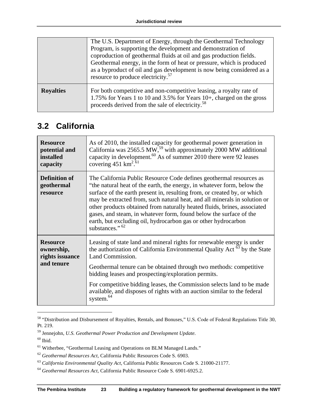<span id="page-22-0"></span>

|                  | The U.S. Department of Energy, through the Geothermal Technology<br>Program, is supporting the development and demonstration of<br>coproduction of geothermal fluids at oil and gas production fields.<br>Geothermal energy, in the form of heat or pressure, which is produced<br>as a byproduct of oil and gas development is now being considered as a<br>resource to produce electricity. <sup>57</sup> |
|------------------|-------------------------------------------------------------------------------------------------------------------------------------------------------------------------------------------------------------------------------------------------------------------------------------------------------------------------------------------------------------------------------------------------------------|
| <b>Royalties</b> | For both competitive and non-competitive leasing, a royalty rate of<br>1.75% for Years 1 to 10 and 3.5% for Years 10+, charged on the gross<br>proceeds derived from the sale of electricity. <sup>58</sup>                                                                                                                                                                                                 |

## **3.2 California**

| <b>Resource</b><br>potential and<br>installed<br>capacity      | As of 2010, the installed capacity for geothermal power generation in<br>California was 2565.5 MW, <sup>59</sup> with approximately 2000 MW additional<br>capacity in development. <sup>60</sup> As of summer 2010 there were 92 leases<br>covering $451 \text{ km}^2$ . <sup>61</sup>                                                                                                                                                                                                                                                                    |
|----------------------------------------------------------------|-----------------------------------------------------------------------------------------------------------------------------------------------------------------------------------------------------------------------------------------------------------------------------------------------------------------------------------------------------------------------------------------------------------------------------------------------------------------------------------------------------------------------------------------------------------|
| <b>Definition of</b><br>geothermal<br>resource                 | The California Public Resource Code defines geothermal resources as<br>"the natural heat of the earth, the energy, in whatever form, below the<br>surface of the earth present in, resulting from, or created by, or which<br>may be extracted from, such natural heat, and all minerals in solution or<br>other products obtained from naturally heated fluids, brines, associated<br>gases, and steam, in whatever form, found below the surface of the<br>earth, but excluding oil, hydrocarbon gas or other hydrocarbon<br>substances." <sup>62</sup> |
| <b>Resource</b><br>ownership,<br>rights issuance<br>and tenure | Leasing of state land and mineral rights for renewable energy is under<br>the authorization of California Environmental Quality Act $\frac{63}{ }$ by the State<br>Land Commission.<br>Geothermal tenure can be obtained through two methods: competitive<br>bidding leases and prospecting/exploration permits.<br>For competitive bidding leases, the Commission selects land to be made<br>available, and disposes of rights with an auction similar to the federal<br>system. <sup>64</sup>                                                           |

<sup>58 &</sup>quot;Distribution and Disbursement of Royalties, Rentals, and Bonuses," U.S. Code of Federal Regulations Title 30, Pt. 219.

<sup>59</sup> Jennejohn, *U.S. Geothermal Power Production and Development Update.*

 $^{60}$  Ibid.

<sup>&</sup>lt;sup>61</sup> Witherbee, "Geothermal Leasing and Operations on BLM Managed Lands."<br><sup>62</sup> Geothermal Resources Act, California Public Resources Code S. 6903.

<sup>&</sup>lt;sup>63</sup> California Environmental Quality Act, California Public Resources Code S. 21000-21177.

<sup>64</sup> *Geothermal Resources Act,* California Public Resource Code S. 6901-6925.2.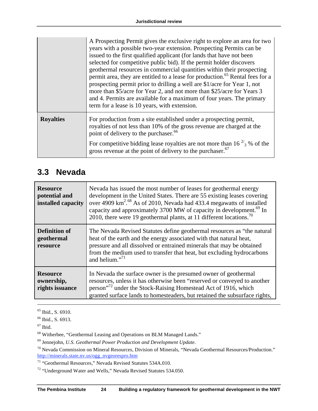<span id="page-23-0"></span>

|                  | A Prospecting Permit gives the exclusive right to explore an area for two<br>years with a possible two-year extension. Prospecting Permits can be<br>issued to the first qualified applicant (for lands that have not been<br>selected for competitive public bid). If the permit holder discovers<br>geothermal resources in commercial quantities within their prospecting<br>permit area, they are entitled to a lease for production. <sup>65</sup> Rental fees for a<br>prospecting permit prior to drilling a well are \$1/acre for Year 1, not<br>more than \$5/acre for Year 2, and not more than \$25/acre for Years 3<br>and 4. Permits are available for a maximum of four years. The primary<br>term for a lease is 10 years, with extension. |
|------------------|-----------------------------------------------------------------------------------------------------------------------------------------------------------------------------------------------------------------------------------------------------------------------------------------------------------------------------------------------------------------------------------------------------------------------------------------------------------------------------------------------------------------------------------------------------------------------------------------------------------------------------------------------------------------------------------------------------------------------------------------------------------|
| <b>Royalties</b> | For production from a site established under a prospecting permit,<br>royalties of not less than 10% of the gross revenue are charged at the<br>point of delivery to the purchaser. <sup>66</sup><br>For competitive bidding lease royalties are not more than 16 <sup><math>2/3</math></sup> % of the<br>gross revenue at the point of delivery to the purchaser. <sup>67</sup>                                                                                                                                                                                                                                                                                                                                                                          |

#### **3.3 Nevada**

| <b>Resource</b><br>potential and<br>installed capacity | Nevada has issued the most number of leases for geothermal energy<br>development in the United States. There are 55 existing leases covering<br>over 4909 km <sup>2</sup> . <sup>68</sup> As of 2010, Nevada had 433.4 megawatts of installed<br>capacity and approximately 3700 MW of capacity in development. <sup>69</sup> In<br>2010, there were 19 geothermal plants, at 11 different locations. <sup>70</sup> |
|--------------------------------------------------------|---------------------------------------------------------------------------------------------------------------------------------------------------------------------------------------------------------------------------------------------------------------------------------------------------------------------------------------------------------------------------------------------------------------------|
| <b>Definition of</b><br>geothermal<br>resource         | The Nevada Revised Statutes define geothermal resources as "the natural<br>heat of the earth and the energy associated with that natural heat,<br>pressure and all dissolved or entrained minerals that may be obtained<br>from the medium used to transfer that heat, but excluding hydrocarbons<br>and helium." <sup>71</sup>                                                                                     |
| <b>Resource</b><br>ownership,<br>rights issuance       | In Nevada the surface owner is the presumed owner of geothermal<br>resources, unless it has otherwise been "reserved or conveyed to another<br>person" <sup>72</sup> under the Stock-Raising Homestead Act of 1916, which<br>granted surface lands to homesteaders, but retained the subsurface rights,                                                                                                             |

<sup>&</sup>lt;sup>65</sup> Ibid., S. 6910.

68 Witherbee, "Geothermal Leasing and Operations on BLM Managed Lands."

<sup>&</sup>lt;sup>66</sup> Ibid., S. 6913.

 $67$  Ibid.

<sup>69</sup> Jennejohn, *U.S. Geothermal Power Production and Development Update.*

<sup>70</sup> Nevada Commission on Mineral Resources, Division of Minerals, "Nevada Geothermal Resources/Production." http://minerals.state.nv.us/ogg\_nvgeorespro.htm

<sup>71 &</sup>quot;Geothermal Resources," Nevada Revised Statutes 534A.010.

<sup>72 &</sup>quot;Underground Water and Wells," Nevada Revised Statutes 534.050.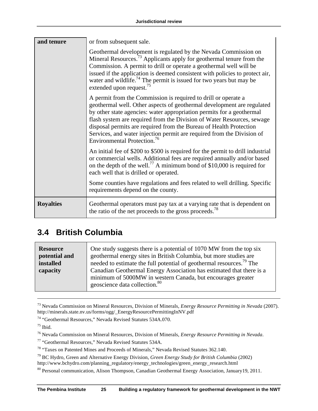<span id="page-24-0"></span>

| and tenure       | or from subsequent sale.                                                                                                                                                                                                                                                                                                                                                                                                                                                               |
|------------------|----------------------------------------------------------------------------------------------------------------------------------------------------------------------------------------------------------------------------------------------------------------------------------------------------------------------------------------------------------------------------------------------------------------------------------------------------------------------------------------|
|                  | Geothermal development is regulated by the Nevada Commission on<br>Mineral Resources. <sup>73</sup> Applicants apply for geothermal tenure from the<br>Commission. A permit to drill or operate a geothermal well will be<br>issued if the application is deemed consistent with policies to protect air,<br>water and wildlife. <sup>74</sup> The permit is issued for two years but may be<br>extended upon request. <sup>75</sup>                                                   |
|                  | A permit from the Commission is required to drill or operate a<br>geothermal well. Other aspects of geothermal development are regulated<br>by other state agencies: water appropriation permits for a geothermal<br>flash system are required from the Division of Water Resources, sewage<br>disposal permits are required from the Bureau of Health Protection<br>Services, and water injection permit are required from the Division of<br>Environmental Protection. <sup>76</sup> |
|                  | An initial fee of \$200 to \$500 is required for the permit to drill industrial<br>or commercial wells. Additional fees are required annually and/or based<br>on the depth of the well. <sup>77</sup> A minimum bond of \$10,000 is required for<br>each well that is drilled or operated.                                                                                                                                                                                             |
|                  | Some counties have regulations and fees related to well drilling. Specific<br>requirements depend on the county.                                                                                                                                                                                                                                                                                                                                                                       |
| <b>Royalties</b> | Geothermal operators must pay tax at a varying rate that is dependent on<br>the ratio of the net proceeds to the gross proceeds. <sup>78</sup>                                                                                                                                                                                                                                                                                                                                         |

## **3.4 British Columbia**

| <b>Resource</b><br>potential and | One study suggests there is a potential of 1070 MW from the top six<br>geothermal energy sites in British Columbia, but more studies are                                         |
|----------------------------------|----------------------------------------------------------------------------------------------------------------------------------------------------------------------------------|
| installed                        | needed to estimate the full potential of geothermal resources. <sup>79</sup> The                                                                                                 |
| capacity                         | Canadian Geothermal Energy Association has estimated that there is a<br>minimum of 5000MW in western Canada, but encourages greater<br>geoscience data collection. <sup>80</sup> |

 <sup>73</sup> Nevada Commission on Mineral Resources, Division of Minerals, *Energy Resource Permitting in Nevada* (2007). http://minerals.state.nv.us/forms/ogg/\_EnergyResourcePermittingInNV.pdf

<sup>74 &</sup>quot;Geothermal Resources," Nevada Revised Statutes 534A.070.

 $75$  Ibid.

<sup>76</sup> Nevada Commission on Mineral Resources, Division of Minerals, *Energy Resource Permitting in Nevada*.

<sup>77 &</sup>quot;Geothermal Resources," Nevada Revised Statutes 534A.

<sup>78 &</sup>quot;Taxes on Patented Mines and Proceeds of Minerals," Nevada Revised Statutes 362.140. 79 BC Hydro, Green and Alternative Energy Division, *Green Energy Study for British Columbia* (2002) http://www.bchydro.com/planning\_regulatory/energy\_technologies/green\_energy\_research.html

<sup>&</sup>lt;sup>80</sup> Personal communication, Alison Thompson, Canadian Geothermal Energy Association, January19, 2011.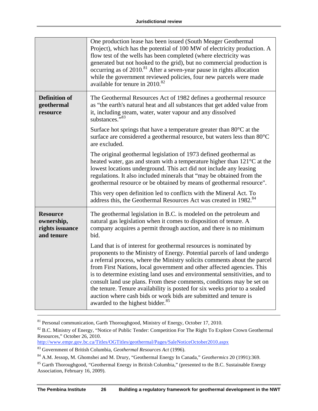|                                                                | One production lease has been issued (South Meager Geothermal<br>Project), which has the potential of 100 MW of electricity production. A<br>flow test of the wells has been completed (where electricity was<br>generated but not hooked to the grid), but no commercial production is<br>occurring as of 2010. <sup>81</sup> After a seven-year pause in rights allocation<br>while the government reviewed policies, four new parcels were made<br>available for tenure in 2010. <sup>82</sup>                                                                                                                                                           |
|----------------------------------------------------------------|-------------------------------------------------------------------------------------------------------------------------------------------------------------------------------------------------------------------------------------------------------------------------------------------------------------------------------------------------------------------------------------------------------------------------------------------------------------------------------------------------------------------------------------------------------------------------------------------------------------------------------------------------------------|
| <b>Definition of</b><br>geothermal<br>resource                 | The Geothermal Resources Act of 1982 defines a geothermal resource<br>as "the earth's natural heat and all substances that get added value from<br>it, including steam, water, water vapour and any dissolved<br>substances." <sup>83</sup>                                                                                                                                                                                                                                                                                                                                                                                                                 |
|                                                                | Surface hot springs that have a temperature greater than $80^{\circ}$ C at the<br>surface are considered a geothermal resource, but waters less than 80°C<br>are excluded.                                                                                                                                                                                                                                                                                                                                                                                                                                                                                  |
|                                                                | The original geothermal legislation of 1973 defined geothermal as<br>heated water, gas and steam with a temperature higher than $121^{\circ}$ C at the<br>lowest locations underground. This act did not include any leasing<br>regulations. It also included minerals that "may be obtained from the<br>geothermal resource or be obtained by means of geothermal resource".                                                                                                                                                                                                                                                                               |
|                                                                | This very open definition led to conflicts with the Mineral Act. To<br>address this, the Geothermal Resources Act was created in 1982. <sup>84</sup>                                                                                                                                                                                                                                                                                                                                                                                                                                                                                                        |
| <b>Resource</b><br>ownership,<br>rights issuance<br>and tenure | The geothermal legislation in B.C. is modeled on the petroleum and<br>natural gas legislation when it comes to disposition of tenure. A<br>company acquires a permit through auction, and there is no minimum<br>bid.                                                                                                                                                                                                                                                                                                                                                                                                                                       |
|                                                                | Land that is of interest for geothermal resources is nominated by<br>proponents to the Ministry of Energy. Potential parcels of land undergo<br>a referral process, where the Ministry solicits comments about the parcel<br>from First Nations, local government and other affected agencies. This<br>is to determine existing land uses and environmental sensitivities, and to<br>consult land use plans. From these comments, conditions may be set on<br>the tenure. Tenure availability is posted for six weeks prior to a sealed<br>auction where cash bids or work bids are submitted and tenure is<br>awarded to the highest bidder. <sup>85</sup> |

<sup>81</sup> Personal communication, Garth Thoroughgood, Ministry of Energy, October 17, 2010.

<sup>&</sup>lt;sup>82</sup> B.C. Ministry of Energy, "Notice of Public Tender: Competition For The Right To Explore Crown Geothermal Resources," October 26, 2010.

http://www.empr.gov.bc.ca/Titles/OGTitles/geothermal/Pages/SaleNoticeOctober2010.aspx

<sup>83</sup> Government of British Columbia, *Geothermal Resources Act* (1996). 84 A.M. Jessop, M. Ghomshei and M. Drury, "Geothermal Energy In Canada," *Geothermics* 20 (1991):369.

<sup>&</sup>lt;sup>85</sup> Garth Thoroughgood, "Geothermal Energy in British Columbia," (presented to the B.C. Sustainable Energy Association, February 16, 2009).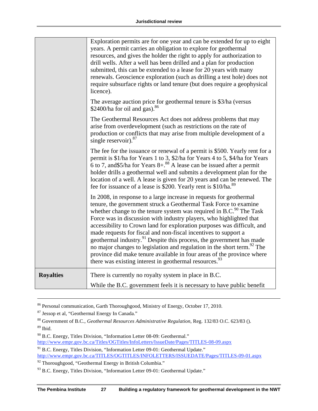|                  | Exploration permits are for one year and can be extended for up to eight<br>years. A permit carries an obligation to explore for geothermal<br>resources, and gives the holder the right to apply for authorization to<br>drill wells. After a well has been drilled and a plan for production<br>submitted, this can be extended to a lease for 20 years with many<br>renewals. Geoscience exploration (such as drilling a test hole) does not<br>require subsurface rights or land tenure (but does require a geophysical<br>licence).                                                                                                                                                                                                                                   |
|------------------|----------------------------------------------------------------------------------------------------------------------------------------------------------------------------------------------------------------------------------------------------------------------------------------------------------------------------------------------------------------------------------------------------------------------------------------------------------------------------------------------------------------------------------------------------------------------------------------------------------------------------------------------------------------------------------------------------------------------------------------------------------------------------|
|                  | The average auction price for geothermal tenure is \$3/ha (versus<br>\$2400/ha for oil and gas). $86$                                                                                                                                                                                                                                                                                                                                                                                                                                                                                                                                                                                                                                                                      |
|                  | The Geothermal Resources Act does not address problems that may<br>arise from overdevelopment (such as restrictions on the rate of<br>production or conflicts that may arise from multiple development of a<br>single reservoir). $87$                                                                                                                                                                                                                                                                                                                                                                                                                                                                                                                                     |
|                  | The fee for the issuance or renewal of a permit is \$500. Yearly rent for a<br>permit is \$1/ha for Years 1 to 3, \$2/ha for Years 4 to 5, \$4/ha for Years<br>6 to 7, and \$5/ha for Years 8+. <sup>88</sup> A lease can be issued after a permit<br>holder drills a geothermal well and submits a development plan for the<br>location of a well. A lease is given for 20 years and can be renewed. The<br>fee for issuance of a lease is \$200. Yearly rent is \$10/ha. <sup>89</sup>                                                                                                                                                                                                                                                                                   |
|                  | In 2008, in response to a large increase in requests for geothermal<br>tenure, the government struck a Geothermal Task Force to examine<br>whether change to the tenure system was required in B.C. <sup>90</sup> The Task<br>Force was in discussion with industry players, who highlighted that<br>accessibility to Crown land for exploration purposes was difficult, and<br>made requests for fiscal and non-fiscal incentives to support a<br>geothermal industry. <sup>91</sup> Despite this process, the government has made<br>no major changes to legislation and regulation in the short term. <sup>92</sup> The<br>province did make tenure available in four areas of the province where<br>there was existing interest in geothermal resources. <sup>93</sup> |
| <b>Royalties</b> | There is currently no royalty system in place in B.C.<br>While the B.C. government feels it is necessary to have public benefit                                                                                                                                                                                                                                                                                                                                                                                                                                                                                                                                                                                                                                            |

 <sup>86</sup> Personal communication, Garth Thoroughgood, Ministry of Energy, October 17, 2010.

89 Ibid.

http://www.empr.gov.bc.ca/Titles/OGTitles/InfoLetters/IssueDate/Pages/TITLES-08-09.aspx

<sup>87</sup> Jessop et al, "Geothermal Energy In Canada."

<sup>88</sup> Government of B.C., *Geothermal Resources Administrative Regulation*, Reg. 132/83 O.C. 623/83 ().

<sup>90</sup> B.C. Energy, Titles Division, "Information Letter 08-09: Geothermal."

<sup>&</sup>lt;sup>91</sup> B.C. Energy, Titles Division, "Information Letter 09-01: Geothermal Update." http://www.empr.gov.bc.ca/TITLES/OGTITLES/INFOLETTERS/ISSUEDATE/Pages/TITLES-09-01.aspx

<sup>92</sup> Thoroughgood, "Geothermal Energy in British Columbia."

<sup>&</sup>lt;sup>93</sup> B.C. Energy, Titles Division, "Information Letter 09-01: Geothermal Update."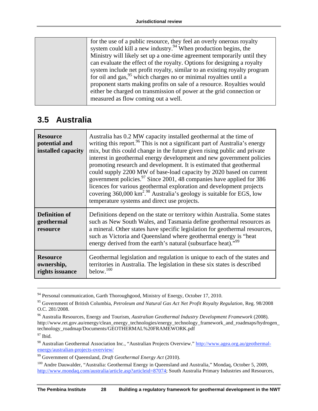<span id="page-27-0"></span>

| for the use of a public resource, they feel an overly onerous royalty       |
|-----------------------------------------------------------------------------|
| system could kill a new industry. <sup>94</sup> When production begins, the |
| Ministry will likely set up a one-time agreement temporarily until they     |
| can evaluate the effect of the royalty. Options for designing a royalty     |
| system include net profit royalty, similar to an existing royalty program   |
| for oil and gas, $95$ which charges no or minimal royalties until a         |
| proponent starts making profits on sale of a resource. Royalties would      |
| either be charged on transmission of power at the grid connection or        |
| measured as flow coming out a well.                                         |
|                                                                             |

### **3.5 Australia**

| <b>Resource</b><br>potential and<br>installed capacity | Australia has 0.2 MW capacity installed geothermal at the time of<br>writing this report. <sup>96</sup> This is not a significant part of Australia's energy<br>mix, but this could change in the future given rising public and private<br>interest in geothermal energy development and new government policies<br>promoting research and development. It is estimated that geothermal<br>could supply 2200 MW of base-load capacity by 2020 based on current<br>government policies. <sup>97</sup> Since 2001, 48 companies have applied for 386<br>licences for various geothermal exploration and development projects<br>covering $360,000 \text{ km}^2$ . <sup>98</sup> Australia's geology is suitable for EGS, low<br>temperature systems and direct use projects. |
|--------------------------------------------------------|-----------------------------------------------------------------------------------------------------------------------------------------------------------------------------------------------------------------------------------------------------------------------------------------------------------------------------------------------------------------------------------------------------------------------------------------------------------------------------------------------------------------------------------------------------------------------------------------------------------------------------------------------------------------------------------------------------------------------------------------------------------------------------|
| <b>Definition of</b><br>geothermal<br>resource         | Definitions depend on the state or territory within Australia. Some states<br>such as New South Wales, and Tasmania define geothermal resources as<br>a mineral. Other states have specific legislation for geothermal resources,<br>such as Victoria and Queensland where geothermal energy is "heat<br>energy derived from the earth's natural (subsurface heat)." <sup>99</sup>                                                                                                                                                                                                                                                                                                                                                                                          |
| <b>Resource</b><br>ownership,<br>rights issuance       | Geothermal legislation and regulation is unique to each of the states and<br>territories in Australia. The legislation in these six states is described<br>below. $100$                                                                                                                                                                                                                                                                                                                                                                                                                                                                                                                                                                                                     |

 <sup>94</sup> Personal communication, Garth Thoroughgood, Ministry of Energy, October 17, 2010.

<sup>95</sup> Government of British Columbia, *Petroleum and Natural Gas Act Net Profit Royalty Regulation*, Reg. 98/2008 O.C. 281/2008.

<sup>96</sup> Australia Resources, Energy and Tourism, *Australian Geothermal Industry Development Framework* (2008). http://www.ret.gov.au/energy/clean\_energy\_technologies/energy\_technology\_framework\_and\_roadmaps/hydrogen\_ technology\_roadmap/Documents/GEOTHERMAL%20FRAMEWORK.pdf  $97$  Ibid.

<sup>98</sup> Australian Geothermal Association Inc., "Australian Projects Overview." http://www.agea.org.au/geothermalenergy/australian-projects-overview/

<sup>99</sup> Government of Queensland, *Draft Geothermal Energy Act* (2010).

<sup>&</sup>lt;sup>100</sup> Andre Dauwalder, "Australia: Geothermal Energy in Queensland and Australia," Mondaq, October 5, 2009, http://www.mondaq.com/australia/article.asp?articleid=87074; South Australia Primary Industries and Resources,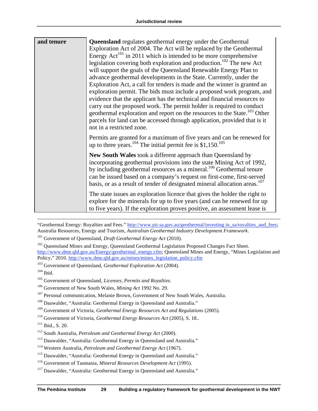| and tenure | <b>Queensland</b> regulates geothermal energy under the Geothermal<br>Exploration Act of 2004. The Act will be replaced by the Geothermal<br>Energy Act <sup>101</sup> in 2011 which is intended to be more comprehensive<br>legislation covering both exploration and production. <sup>102</sup> The new Act<br>will support the goals of the Queensland Renewable Energy Plan to<br>advance geothermal developments in the State. Currently, under the<br>Exploration Act, a call for tenders is made and the winner is granted an<br>exploration permit. The bids must include a proposed work program, and<br>evidence that the applicant has the technical and financial resources to<br>carry out the proposed work. The permit holder is required to conduct<br>geothermal exploration and report on the resources to the State. <sup>103</sup> Other<br>parcels for land can be accessed through application, provided that is it<br>not in a restricted zone. |
|------------|------------------------------------------------------------------------------------------------------------------------------------------------------------------------------------------------------------------------------------------------------------------------------------------------------------------------------------------------------------------------------------------------------------------------------------------------------------------------------------------------------------------------------------------------------------------------------------------------------------------------------------------------------------------------------------------------------------------------------------------------------------------------------------------------------------------------------------------------------------------------------------------------------------------------------------------------------------------------|
|            | Permits are granted for a maximum of five years and can be renewed for<br>up to three years. <sup>104</sup> The initial permit fee is \$1,150. <sup>105</sup>                                                                                                                                                                                                                                                                                                                                                                                                                                                                                                                                                                                                                                                                                                                                                                                                          |
|            | New South Wales took a different approach than Queensland by<br>incorporating geothermal provisions into the state Mining Act of 1992,<br>by including geothermal resources as a mineral. <sup>106</sup> Geothermal tenure<br>can be issued based on a company's request on first-come, first-served<br>basis, or as a result of tender of designated mineral allocation areas. <sup>107</sup><br>The state issues an exploration licence that gives the holder the right to                                                                                                                                                                                                                                                                                                                                                                                                                                                                                           |
|            | explore for the minerals for up to five years (and can be renewed for up<br>to five years). If the exploration proves positive, an assessment lease is                                                                                                                                                                                                                                                                                                                                                                                                                                                                                                                                                                                                                                                                                                                                                                                                                 |

<sup>&</sup>quot;Geothermal Energy: Royalties and Fees." http://www.pir.sa.gov.au/geothermal/investing in\_sa/royalties\_and\_fees; Australia Resources, Energy and Tourism, *Australian Geothermal Industry Development Framework*.

<sup>101</sup> Government of Queensland, *Draft Geothermal Energy Act* (2010).

<sup>&</sup>lt;sup>102</sup> Queensland Mines and Energy, Queensland Geothermal Legislation Proposed Changes Fact Sheet. http://www.dme.qld.gov.au/Energy/geothermal\_energy.cfm; Queensland Mines and Energy, "Mines Legislation and Policy," 2010. http://www.dme.qld.gov.au/mines/mines\_legislation\_policy.cfm

<sup>103</sup> Government of Queensland, *Geothermal Exploration Act* (2004).

 $104$  Ibid.

<sup>105</sup> Government of Queensland, *Licenses, Permits and Royalties*.

<sup>106</sup> Government of New South Wales, *Mining Act* 1992 No. 29.

<sup>&</sup>lt;sup>107</sup> Personal communication, Melanie Brown, Government of New South Wales, Australia.

<sup>&</sup>lt;sup>108</sup> Dauwalder, "Australia: Geothermal Energy in Queensland and Australia."

<sup>109</sup> Government of Victoria, *Geothermal Energy Resources Act and Regulations* (2005).

<sup>110</sup> Government of Victoria, *Geothermal Energy Resources Act* (2005), S. 18..

 $111$  Ibid., S. 20.

<sup>112</sup> South Australia, *Petroleum and Geothermal Energy Act* (2000).

<sup>113</sup> Dauwalder, "Australia: Geothermal Energy in Queensland and Australia." 114 Western Australia, *Petroleum and Geothermal Energy Act* (1967).

<sup>115</sup> Dauwalder, "Australia: Geothermal Energy in Queensland and Australia." 116 Government of Tasmania, *Mineral Resources Development Act* (1995).

<sup>&</sup>lt;sup>117</sup> Dauwalder, "Australia: Geothermal Energy in Queensland and Australia."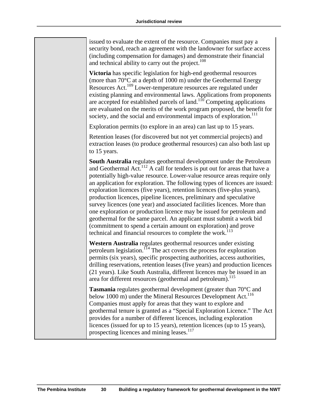| issued to evaluate the extent of the resource. Companies must pay a<br>security bond, reach an agreement with the landowner for surface access<br>(including compensation for damages) and demonstrate their financial<br>and technical ability to carry out the project. <sup>108</sup>                                                                                                                                                                                                                                                                                                                                                                                                                                                                                                                                                              |
|-------------------------------------------------------------------------------------------------------------------------------------------------------------------------------------------------------------------------------------------------------------------------------------------------------------------------------------------------------------------------------------------------------------------------------------------------------------------------------------------------------------------------------------------------------------------------------------------------------------------------------------------------------------------------------------------------------------------------------------------------------------------------------------------------------------------------------------------------------|
| Victoria has specific legislation for high-end geothermal resources<br>(more than 70°C at a depth of 1000 m) under the Geothermal Energy<br>Resources Act. <sup>109</sup> Lower-temperature resources are regulated under<br>existing planning and environmental laws. Applications from proponents<br>are accepted for established parcels of land. <sup>110</sup> Competing applications<br>are evaluated on the merits of the work program proposed, the benefit for<br>society, and the social and environmental impacts of exploration. <sup>111</sup>                                                                                                                                                                                                                                                                                           |
| Exploration permits (to explore in an area) can last up to 15 years.                                                                                                                                                                                                                                                                                                                                                                                                                                                                                                                                                                                                                                                                                                                                                                                  |
| Retention leases (for discovered but not yet commercial projects) and<br>extraction leases (to produce geothermal resources) can also both last up<br>to 15 years.                                                                                                                                                                                                                                                                                                                                                                                                                                                                                                                                                                                                                                                                                    |
| South Australia regulates geothermal development under the Petroleum<br>and Geothermal Act. <sup>112</sup> A call for tenders is put out for areas that have a<br>potentially high-value resource. Lower-value resource areas require only<br>an application for exploration. The following types of licences are issued:<br>exploration licences (five years), retention licences (five-plus years),<br>production licences, pipeline licences, preliminary and speculative<br>survey licences (one year) and associated facilities licences. More than<br>one exploration or production licence may be issued for petroleum and<br>geothermal for the same parcel. An applicant must submit a work bid<br>(commitment to spend a certain amount on exploration) and prove<br>technical and financial resources to complete the work. <sup>113</sup> |
| Western Australia regulates geothermal resources under existing<br>petroleum legislation. <sup>114</sup> The act covers the process for exploration<br>permits (six years), specific prospecting authorities, access authorities,<br>drilling reservations, retention leases (five years) and production licences<br>(21 years). Like South Australia, different licences may be issued in an<br>area for different resources (geothermal and petroleum). <sup>115</sup>                                                                                                                                                                                                                                                                                                                                                                              |
| <b>Tasmania</b> regulates geothermal development (greater than $70^{\circ}$ C and<br>below 1000 m) under the Mineral Resources Development Act. <sup>116</sup><br>Companies must apply for areas that they want to explore and<br>geothermal tenure is granted as a "Special Exploration Licence." The Act<br>provides for a number of different licences, including exploration<br>licences (issued for up to 15 years), retention licences (up to 15 years),<br>prospecting licences and mining leases. <sup>117</sup>                                                                                                                                                                                                                                                                                                                              |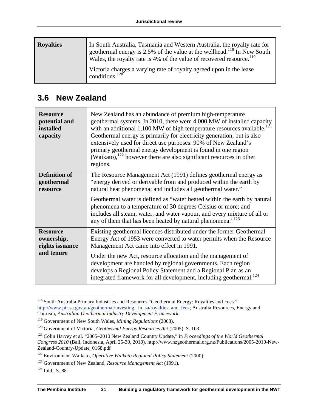<span id="page-30-0"></span>

| <b>Royalties</b> | In South Australia, Tasmania and Western Australia, the royalty rate for<br>geothermal energy is 2.5% of the value at the wellhead. <sup>118</sup> In New South<br>Wales, the royalty rate is 4% of the value of recovered resource. <sup>119</sup> |
|------------------|-----------------------------------------------------------------------------------------------------------------------------------------------------------------------------------------------------------------------------------------------------|
|                  | Victoria charges a varying rate of royalty agreed upon in the lease<br>conditions. <sup>120</sup>                                                                                                                                                   |

#### **3.6 New Zealand**

| <b>Resource</b><br>potential and<br>installed<br>capacity      | New Zealand has an abundance of premium high-temperature<br>geothermal systems. In 2010, there were 4,000 MW of installed capacity<br>with an additional 1,100 MW of high temperature resources available. <sup>121</sup><br>Geothermal energy is primarily for electricity generation, but is also<br>extensively used for direct use purposes. 90% of New Zealand's<br>primary geothermal energy development is found in one region<br>(Waikato), $^{122}$ however there are also significant resources in other<br>regions. |
|----------------------------------------------------------------|--------------------------------------------------------------------------------------------------------------------------------------------------------------------------------------------------------------------------------------------------------------------------------------------------------------------------------------------------------------------------------------------------------------------------------------------------------------------------------------------------------------------------------|
| <b>Definition of</b><br>geothermal<br>resource                 | The Resource Management Act (1991) defines geothermal energy as<br>"energy derived or derivable from and produced within the earth by<br>natural heat phenomena; and includes all geothermal water."<br>Geothermal water is defined as "water heated within the earth by natural<br>phenomena to a temperature of 30 degrees Celsius or more; and<br>includes all steam, water, and water vapour, and every mixture of all or<br>any of them that has been heated by natural phenomena." <sup>123</sup>                        |
| <b>Resource</b><br>ownership,<br>rights issuance<br>and tenure | Existing geothermal licences distributed under the former Geothermal<br>Energy Act of 1953 were converted to water permits when the Resource<br>Management Act came into effect in 1991.<br>Under the new Act, resource allocation and the management of<br>development are handled by regional governments. Each region<br>develops a Regional Policy Statement and a Regional Plan as an<br>integrated framework for all development, including geothermal. <sup>124</sup>                                                   |

<sup>&</sup>lt;sup>118</sup> South Australia Primary Industries and Resources "Geothermal Energy: Royalties and Fees." http://www.pir.sa.gov.au/geothermal/investing\_in\_sa/royalties\_and\_fees; Australia Resources, Energy and Tourism, *Australian Geothermal Industry Development Framework*.

<sup>119</sup> Government of New South Wales, *Mining Regulations* (2003).

<sup>120</sup> Government of Victoria, *Geothermal Energy Resources Act* (2005), S. 103.

<sup>121</sup> Colin Harvey et al. "2005–2010 New Zealand Country Update," in *Proceedings of the World Geothermal Congress 2010* (Bali, Indonesia, April 25-30, 2010). http://www.nzgeothermal.org.nz/Publications/2005-2010-New-Zealand-Country-Update\_0168.pdf

<sup>&</sup>lt;sup>122</sup> Environment Waikato, *Operative Waikato Regional Policy Statement* (2000).<br><sup>123</sup> Government of New Zealand, *Resource Management Act* (1991).

<sup>124</sup> Ibid., S. 88.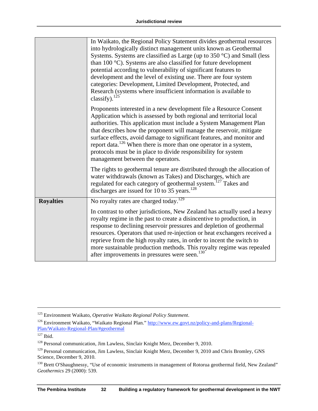|                  | In Waikato, the Regional Policy Statement divides geothermal resources<br>into hydrologically distinct management units known as Geothermal<br>Systems. Systems are classified as Large (up to 350 °C) and Small (less<br>than 100 °C). Systems are also classified for future development<br>potential according to vulnerability of significant features to<br>development and the level of existing use. There are four system<br>categories: Development, Limited Development, Protected, and<br>Research (systems where insufficient information is available to<br>classify). $^{125}$ |
|------------------|----------------------------------------------------------------------------------------------------------------------------------------------------------------------------------------------------------------------------------------------------------------------------------------------------------------------------------------------------------------------------------------------------------------------------------------------------------------------------------------------------------------------------------------------------------------------------------------------|
|                  | Proponents interested in a new development file a Resource Consent<br>Application which is assessed by both regional and territorial local<br>authorities. This application must include a System Management Plan<br>that describes how the proponent will manage the reservoir, mitigate<br>surface effects, avoid damage to significant features, and monitor and<br>report data. $126$ When there is more than one operator in a system,<br>protocols must be in place to divide responsibility for system<br>management between the operators.                                           |
|                  | The rights to geothermal tenure are distributed through the allocation of<br>water withdrawals (known as Takes) and Discharges, which are<br>regulated for each category of geothermal system. <sup>127</sup> Takes and<br>discharges are issued for 10 to 35 years. $128$                                                                                                                                                                                                                                                                                                                   |
| <b>Royalties</b> | No royalty rates are charged today. <sup>129</sup><br>In contrast to other jurisdictions, New Zealand has actually used a heavy<br>royalty regime in the past to create a disincentive to production, in<br>response to declining reservoir pressures and depletion of geothermal                                                                                                                                                                                                                                                                                                            |
|                  | resources. Operators that used re-injection or heat exchangers received a<br>reprieve from the high royalty rates, in order to incent the switch to<br>more sustainable production methods. This royalty regime was repealed<br>after improvements in pressures were seen. <sup>130</sup>                                                                                                                                                                                                                                                                                                    |

 <sup>125</sup> Environment Waikato, *Operative Waikato Regional Policy Statement*.

<sup>&</sup>lt;sup>126</sup> Environment Waikato, "Waikato Regional Plan." http://www.ew.govt.nz/policy-and-plans/Regional-Plan/Waikato-Regional-Plan/#geothermal

 $127$  Ibid.

<sup>&</sup>lt;sup>128</sup> Personal communication, Jim Lawless, Sinclair Knight Merz, December 9, 2010.

<sup>&</sup>lt;sup>129</sup> Personal communication, Jim Lawless, Sinclair Knight Merz, December 9, 2010 and Chris Bromley, GNS Science, December 9, 2010.

<sup>&</sup>lt;sup>130</sup> Brett O'Shaughnessy, "Use of economic instruments in management of Rotorua geothermal field, New Zealand" *Geothermics* 29 (2000): 539.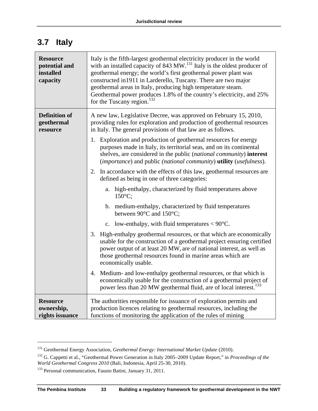<span id="page-32-0"></span>

| <b>Resource</b><br>potential and<br>installed<br>capacity | Italy is the fifth-largest geothermal electricity producer in the world<br>with an installed capacity of 843 MW. <sup>131</sup> Italy is the oldest producer of<br>geothermal energy; the world's first geothermal power plant was<br>constructed in 1911 in Larderello, Tuscany. There are two major<br>geothermal areas in Italy, producing high temperature steam.<br>Geothermal power produces 1.8% of the country's electricity, and 25%<br>for the Tuscany region. <sup>132</sup>                                                                                                                                                                                                                                                                                                                                                                                                                                                                                                                                                                                                                                                                                                                                                                                                                                                                                                  |  |
|-----------------------------------------------------------|------------------------------------------------------------------------------------------------------------------------------------------------------------------------------------------------------------------------------------------------------------------------------------------------------------------------------------------------------------------------------------------------------------------------------------------------------------------------------------------------------------------------------------------------------------------------------------------------------------------------------------------------------------------------------------------------------------------------------------------------------------------------------------------------------------------------------------------------------------------------------------------------------------------------------------------------------------------------------------------------------------------------------------------------------------------------------------------------------------------------------------------------------------------------------------------------------------------------------------------------------------------------------------------------------------------------------------------------------------------------------------------|--|
| <b>Definition of</b><br>geothermal<br>resource            | A new law, Legislative Decree, was approved on February 15, 2010,<br>providing rules for exploration and production of geothermal resources<br>in Italy. The general provisions of that law are as follows.<br>1. Exploration and production of geothermal resources for energy<br>purposes made in Italy, its territorial seas, and on its continental<br>shelves, are considered in the public ( <i>national community</i> ) interest<br>( <i>importance</i> ) and public ( <i>national community</i> ) <b>utility</b> ( <i>usefulness</i> ).<br>In accordance with the effects of this law, geothermal resources are<br>2.<br>defined as being in one of three categories:<br>a. high-enthalpy, characterized by fluid temperatures above<br>$150^{\circ}$ C;<br>medium-enthalpy, characterized by fluid temperatures<br>b.<br>between 90°C and 150°C;<br>c. low-enthalpy, with fluid temperatures $< 90^{\circ}$ C.<br>High-enthalpy geothermal resources, or that which are economically<br>3.<br>usable for the construction of a geothermal project ensuring certified<br>power output of at least 20 MW, are of national interest, as well as<br>those geothermal resources found in marine areas which are<br>economically usable.<br>4. Medium- and low-enthalpy geothermal resources, or that which is<br>economically usable for the construction of a geothermal project of |  |
| <b>Resource</b><br>ownership,                             | power less than 20 MW geothermal fluid, are of local interest. <sup>133</sup><br>The authorities responsible for issuance of exploration permits and<br>production licences relating to geothermal resources, including the                                                                                                                                                                                                                                                                                                                                                                                                                                                                                                                                                                                                                                                                                                                                                                                                                                                                                                                                                                                                                                                                                                                                                              |  |
| rights issuance                                           | functions of monitoring the application of the rules of mining                                                                                                                                                                                                                                                                                                                                                                                                                                                                                                                                                                                                                                                                                                                                                                                                                                                                                                                                                                                                                                                                                                                                                                                                                                                                                                                           |  |

<sup>&</sup>lt;sup>131</sup> Geothermal Energy Association, *Geothermal Energy: International Market Update* (2010).<br><sup>132</sup> G. Cappetti et al., "Geothermal Power Generation in Italy 2005–2009 Update Report," in *Proceedings of the World Geothermal Congress 2010* (Bali, Indonesia, April 25-30, 2010).

<sup>&</sup>lt;sup>133</sup> Personal communication, Fausto Batini, January 31, 2011.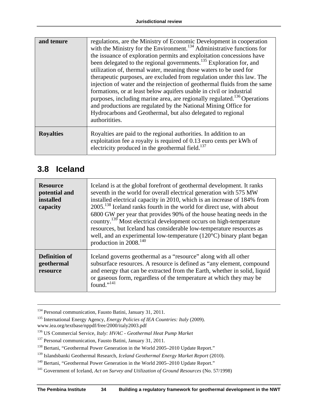<span id="page-33-0"></span>

| and tenure       | regulations, are the Ministry of Economic Development in cooperation<br>with the Ministry for the Environment. <sup>134</sup> Administrative functions for<br>the issuance of exploration permits and exploitation concessions have<br>been delegated to the regional governments. <sup>135</sup> Exploration for, and<br>utilization of, thermal water, meaning those waters to be used for<br>therapeutic purposes, are excluded from regulation under this law. The<br>injection of water and the reinjection of geothermal fluids from the same |  |
|------------------|-----------------------------------------------------------------------------------------------------------------------------------------------------------------------------------------------------------------------------------------------------------------------------------------------------------------------------------------------------------------------------------------------------------------------------------------------------------------------------------------------------------------------------------------------------|--|
|                  | formations, or at least below aquifers usable in civil or industrial<br>purposes, including marine area, are regionally regulated. <sup>136</sup> Operations<br>and productions are regulated by the National Mining Office for<br>Hydrocarbons and Geothermal, but also delegated to regional<br>authoritities.                                                                                                                                                                                                                                    |  |
| <b>Royalties</b> | Royalties are paid to the regional authorities. In addition to an<br>exploitation fee a royalty is required of 0.13 euro cents per kWh of<br>electricity produced in the geothermal field. <sup>137</sup>                                                                                                                                                                                                                                                                                                                                           |  |

### **3.8 Iceland**

| <b>Resource</b><br>potential and<br>installed<br>capacity | Iceland is at the global forefront of geothermal development. It ranks<br>seventh in the world for overall electrical generation with 575 MW<br>installed electrical capacity in 2010, which is an increase of 184% from<br>2005. <sup>138</sup> Iceland ranks fourth in the world for direct use, with about<br>6800 GW per year that provides 90% of the house heating needs in the<br>country. <sup>139</sup> Most electrical development occurs on high-temperature<br>resources, but Iceland has considerable low-temperature resources as<br>well, and an experimental low-temperature (120°C) binary plant began<br>production in 2008. <sup>140</sup> |
|-----------------------------------------------------------|---------------------------------------------------------------------------------------------------------------------------------------------------------------------------------------------------------------------------------------------------------------------------------------------------------------------------------------------------------------------------------------------------------------------------------------------------------------------------------------------------------------------------------------------------------------------------------------------------------------------------------------------------------------|
| <b>Definition of</b><br>geothermal<br>resource            | Iceland governs geothermal as a "resource" along with all other<br>subsurface resources. A resource is defined as "any element, compound<br>and energy that can be extracted from the Earth, whether in solid, liquid<br>or gaseous form, regardless of the temperature at which they may be<br>found." $^{141}$                                                                                                                                                                                                                                                                                                                                              |

 <sup>134</sup> Personal communication, Fausto Batini, January 31, 2011.

<sup>135</sup> International Energy Agency, *Energy Policies of IEA Countries: Italy* (2009). www.iea.org/textbase/nppdf/free/2000/italy2003.pdf

<sup>136</sup> US Commercial Service, *Italy: HVAC - Geothermal Heat Pump Market*

<sup>&</sup>lt;sup>137</sup> Personal communication, Fausto Batini, January 31, 2011.

<sup>&</sup>lt;sup>138</sup> Bertani, "Geothermal Power Generation in the World 2005–2010 Update Report."

<sup>&</sup>lt;sup>139</sup> Islandsbanki Geothermal Research, *Iceland Geothermal Energy Market Report* (2010).<br><sup>140</sup> Bertani, "Geothermal Power Generation in the World 2005–2010 Update Report."

<sup>141</sup> Government of Iceland, *Act on Survey and Utilization of Ground Resources* (No. 57/1998)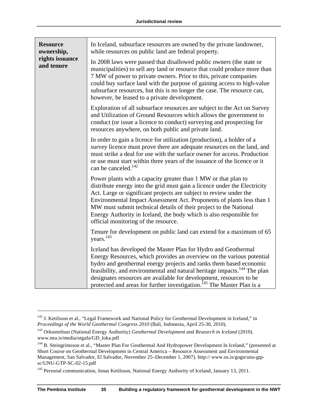| <b>Resource</b><br>ownership,<br>rights issuance<br>and tenure | In Iceland, subsurface resources are owned by the private landowner,<br>while resources on public land are federal property.<br>In 2008 laws were passed that disallowed public owners (the state or<br>municipalities) to sell any land or resource that could produce more than<br>7 MW of power to private owners. Prior to this, private companies<br>could buy surface land with the purpose of gaining access to high-value<br>subsurface resources, but this is no longer the case. The resource can, |
|----------------------------------------------------------------|--------------------------------------------------------------------------------------------------------------------------------------------------------------------------------------------------------------------------------------------------------------------------------------------------------------------------------------------------------------------------------------------------------------------------------------------------------------------------------------------------------------|
|                                                                | however, be leased to a private development.<br>Exploration of all subsurface resources are subject to the Act on Survey<br>and Utilization of Ground Resources which allows the government to<br>conduct (or issue a licence to conduct) surveying and prospecting for<br>resources anywhere, on both public and private land.                                                                                                                                                                              |
|                                                                | In order to gain a licence for utilization (production), a holder of a<br>survey licence must prove there are adequate resources on the land, and<br>must strike a deal for use with the surface owner for access. Production<br>or use must start within three years of the issuance of the licence or it<br>can be canceled. <sup>142</sup>                                                                                                                                                                |
|                                                                | Power plants with a capacity greater than 1 MW or that plan to<br>distribute energy into the grid must gain a licence under the Electricity<br>Act. Large or significant projects are subject to review under the<br>Environmental Impact Assessment Act. Proponents of plants less than 1<br>MW must submit technical details of their project to the National<br>Energy Authority in Iceland, the body which is also responsible for<br>official monitoring of the resource.                               |
|                                                                | Tenure for development on public land can extend for a maximum of 65<br>years. <sup>143</sup>                                                                                                                                                                                                                                                                                                                                                                                                                |
|                                                                | Iceland has developed the Master Plan for Hydro and Geothermal<br>Energy Resources, which provides an overview on the various potential<br>hydro and geothermal energy projects and ranks them based economic<br>feasibility, and environmental and natural heritage impacts. <sup>144</sup> The plan<br>designates resources are available for development, resources to be<br>protected and areas for further investigation. <sup>145</sup> The Master Plan is a                                           |

<sup>&</sup>lt;sup>142</sup> J. Ketilsson et al., "Legal Framework and National Policy for Geothermal Development in Iceland," in *Proceedings of the World Geothermal Congress 2010* (Bali, Indonesia, April 25-30, 2010).

<sup>143</sup> Orkustofnun (National Energy Authority) *Geothermal Development and Research in Iceland* (2010). www.nea.is/media/utgafa/GD\_loka.pdf

<sup>&</sup>lt;sup>144</sup> B. Steingrímsson et al., "Master Plan For Geothermal And Hydropower Development In Iceland," (presented at Short Course on Geothermal Development in Central America – Resource Assessment and Environmental Management, San Salvador, El Salvador, November 25–December 1, 2007). http:// www.os.is/gogn/unu-gtpsc/UNU-GTP-SC-02-15.pdf

<sup>&</sup>lt;sup>145</sup> Personal communication, Jonas Ketilsson, National Energy Authority of Iceland, January 13, 2011.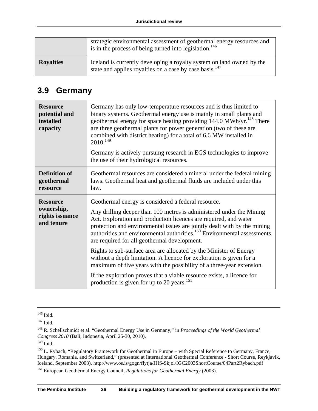<span id="page-35-0"></span>

|                  | strategic environmental assessment of geothermal energy resources and<br>is in the process of being turned into legislation. <sup>146</sup>  |
|------------------|----------------------------------------------------------------------------------------------------------------------------------------------|
| <b>Royalties</b> | Iceland is currently developing a royalty system on land owned by the<br>state and applies royalties on a case by case basis. <sup>147</sup> |

### **3.9 Germany**

| <b>Resource</b><br>potential and<br>installed<br>capacity      | Germany has only low-temperature resources and is thus limited to<br>binary systems. Geothermal energy use is mainly in small plants and<br>geothermal energy for space heating providing 144.0 MWh/yr. <sup>148</sup> There<br>are three geothermal plants for power generation (two of these are<br>combined with district heating) for a total of 6.6 MW installed in<br>$2010^{149}$<br>Germany is actively pursuing research in EGS technologies to improve<br>the use of their hydrological resources. |
|----------------------------------------------------------------|--------------------------------------------------------------------------------------------------------------------------------------------------------------------------------------------------------------------------------------------------------------------------------------------------------------------------------------------------------------------------------------------------------------------------------------------------------------------------------------------------------------|
| <b>Definition of</b><br>geothermal<br>resource                 | Geothermal resources are considered a mineral under the federal mining<br>laws. Geothermal heat and geothermal fluids are included under this<br>law.                                                                                                                                                                                                                                                                                                                                                        |
| <b>Resource</b><br>ownership,<br>rights issuance<br>and tenure | Geothermal energy is considered a federal resource.<br>Any drilling deeper than 100 metres is administered under the Mining<br>Act. Exploration and production licences are required, and water<br>protection and environmental issues are jointly dealt with by the mining<br>authorities and environmental authorities. <sup>150</sup> Environmental assessments<br>are required for all geothermal development.                                                                                           |
|                                                                | Rights to sub-surface area are allocated by the Minister of Energy<br>without a depth limitation. A licence for exploration is given for a<br>maximum of five years with the possibility of a three-year extension.                                                                                                                                                                                                                                                                                          |
|                                                                | If the exploration proves that a viable resource exists, a licence for<br>production is given for up to 20 years. <sup>151</sup>                                                                                                                                                                                                                                                                                                                                                                             |

 $146$  Ibid.

149 Ibid.

<sup>150</sup> L. Rybach, "Regulatory Framework for Geothermal in Europe – with Special Reference to Germany, France, Hungary, Romania, and Switzerland," (presented at International Geothermal Conference - Short Course, Reykjavík, Iceland, September 2003). http://www.os.is/gogn/flytja/JHS-Skjol/IGC2003ShortCourse/04Part2Rybach.pdf

151 European Geothermal Energy Council, *Regulations for Geothermal Energy* (2003).

<sup>147</sup> Ibid.

<sup>148</sup> R. Schellschmidt et al. "Geothermal Energy Use in Germany," in *Proceedings of the World Geothermal Congress 2010* (Bali, Indonesia, April 25-30, 2010).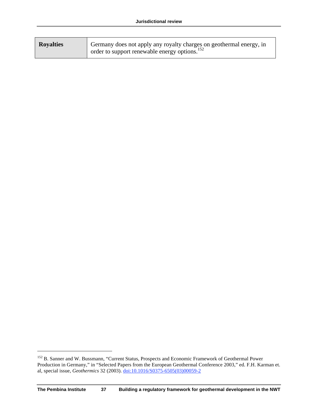| <b>Royalties</b> | Germany does not apply any royalty charges on geothermal energy, in<br>order to support renewable energy options. <sup>152</sup> |
|------------------|----------------------------------------------------------------------------------------------------------------------------------|
|                  |                                                                                                                                  |

<sup>&</sup>lt;sup>152</sup> B. Sanner and W. Bussmann, "Current Status, Prospects and Economic Framework of Geothermal Power Production in Germany," in "Selected Papers from the European Geothermal Conference 2003," ed. F.H. Karman et. al, special issue, *Geothermics* 32 (2003). doi:10.1016/S0375-6505(03)00059-2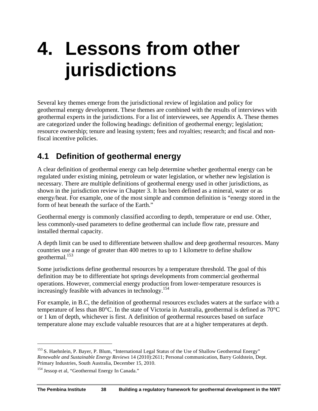## <span id="page-37-0"></span>**4. Lessons from other jurisdictions**

Several key themes emerge from the jurisdictional review of legislation and policy for geothermal energy development. These themes are combined with the results of interviews with geothermal experts in the jurisdictions. For a list of interviewees, see Appendix A. These themes are categorized under the following headings: definition of geothermal energy; legislation; resource ownership; tenure and leasing system; fees and royalties; research; and fiscal and nonfiscal incentive policies.

## **4.1 Definition of geothermal energy**

A clear definition of geothermal energy can help determine whether geothermal energy can be regulated under existing mining, petroleum or water legislation, or whether new legislation is necessary. There are multiple definitions of geothermal energy used in other jurisdictions, as shown in the jurisdiction review in Chapter 3. It has been defined as a mineral, water or as energy/heat. For example, one of the most simple and common definition is "energy stored in the form of heat beneath the surface of the Earth."

Geothermal energy is commonly classified according to depth, temperature or end use. Other, less commonly-used parameters to define geothermal can include flow rate, pressure and installed thermal capacity.

A depth limit can be used to differentiate between shallow and deep geothermal resources. Many countries use a range of greater than 400 metres to up to 1 kilometre to define shallow geothermal.153

Some jurisdictions define geothermal resources by a temperature threshold. The goal of this definition may be to differentiate hot springs developments from commercial geothermal operations. However, commercial energy production from lower-temperature resources is increasingly feasible with advances in technology.<sup>154</sup>

For example, in B.C, the definition of geothermal resources excludes waters at the surface with a temperature of less than 80°C. In the state of Victoria in Australia, geothermal is defined as 70°C or 1 km of depth, whichever is first. A definition of geothermal resources based on surface temperature alone may exclude valuable resources that are at a higher temperatures at depth.

<sup>&</sup>lt;sup>153</sup> S. Haehnlein, P. Bayer, P. Blum, "International Legal Status of the Use of Shallow Geothermal Energy" *Renewable and Sustainable Energy Reviews* 14 (2010):2611; Personal communication, Barry Goldstein, Dept. Primary Industries, South Australia, December 15, 2010.

<sup>&</sup>lt;sup>154</sup> Jessop et al, "Geothermal Energy In Canada."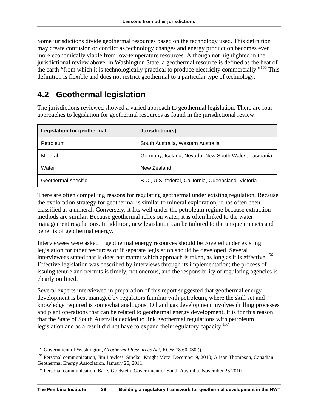<span id="page-38-0"></span>Some jurisdictions divide geothermal resources based on the technology used. This definition may create confusion or conflict as technology changes and energy production becomes even more economically viable from low-temperature resources. Although not highlighted in the jurisdictional review above, in Washington State, a geothermal resource is defined as the heat of the earth "from which it is technologically practical to produce electricity commercially."155 This definition is flexible and does not restrict geothermal to a particular type of technology.

## **4.2 Geothermal legislation**

The jurisdictions reviewed showed a varied approach to geothermal legislation. There are four approaches to legislation for geothermal resources as found in the jurisdictional review:

| <b>Legislation for geothermal</b> | Jurisdiction(s)                                      |
|-----------------------------------|------------------------------------------------------|
| Petroleum                         | South Australia, Western Australia                   |
| Mineral                           | Germany, Iceland, Nevada, New South Wales, Tasmania  |
| Water                             | New Zealand                                          |
| Geothermal-specific               | B.C., U.S. federal, California, Queensland, Victoria |

There are often compelling reasons for regulating geothermal under existing regulation. Because the exploration strategy for geothermal is similar to mineral exploration, it has often been classified as a mineral. Conversely, it fits well under the petroleum regime because extraction methods are similar. Because geothermal relies on water, it is often linked to the water management regulations. In addition, new legislation can be tailored to the unique impacts and benefits of geothermal energy.

Interviewees were asked if geothermal energy resources should be covered under existing legislation for other resources or if separate legislation should be developed. Several interviewees stated that is does not matter which approach is taken, as long as it is effective.<sup>156</sup> Effective legislation was described by interviews through its implementation; the process of issuing tenure and permits is timely, not onerous, and the responsibility of regulating agencies is clearly outlined.

Several experts interviewed in preparation of this report suggested that geothermal energy development is best managed by regulators familiar with petroleum, where the skill set and knowledge required is somewhat analogous. Oil and gas development involves drilling processes and plant operations that can be related to geothermal energy development. It is for this reason that the State of South Australia decided to link geothermal regulations with petroleum legislation and as a result did not have to expand their regulatory capacity.<sup>157</sup>

<sup>&</sup>lt;sup>155</sup> Government of Washington, *Geothermal Resources Act*, RCW 78.60.030 ().<br><sup>156</sup> Personal communication, Jim Lawless, Sinclair Knight Merz, December 9, 2010; Alison Thompson, Canadian Geothermal Energy Association, January 26, 2011.

<sup>&</sup>lt;sup>157</sup> Personal communication, Barry Goldstein, Government of South Australia, November 23 2010.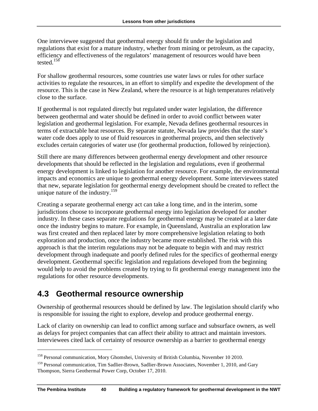<span id="page-39-0"></span>One interviewee suggested that geothermal energy should fit under the legislation and regulations that exist for a mature industry, whether from mining or petroleum, as the capacity, efficiency and effectiveness of the regulators' management of resources would have been tested.158

For shallow geothermal resources, some countries use water laws or rules for other surface activities to regulate the resources, in an effort to simplify and expedite the development of the resource. This is the case in New Zealand, where the resource is at high temperatures relatively close to the surface.

If geothermal is not regulated directly but regulated under water legislation, the difference between geothermal and water should be defined in order to avoid conflict between water legislation and geothermal legislation. For example, Nevada defines geothermal resources in terms of extractable heat resources. By separate statute, Nevada law provides that the state's water code does apply to use of fluid resources in geothermal projects, and then selectively excludes certain categories of water use (for geothermal production, followed by reinjection).

Still there are many differences between geothermal energy development and other resource developments that should be reflected in the legislation and regulations, even if geothermal energy development is linked to legislation for another resource. For example, the environmental impacts and economics are unique to geothermal energy development. Some interviewees stated that new, separate legislation for geothermal energy development should be created to reflect the unique nature of the industry.<sup>159</sup>

Creating a separate geothermal energy act can take a long time, and in the interim, some jurisdictions choose to incorporate geothermal energy into legislation developed for another industry. In these cases separate regulations for geothermal energy may be created at a later date once the industry begins to mature. For example, in Queensland, Australia an exploration law was first created and then replaced later by more comprehensive legislation relating to both exploration and production, once the industry became more established. The risk with this approach is that the interim regulations may not be adequate to begin with and may restrict development through inadequate and poorly defined rules for the specifics of geothermal energy development. Geothermal specific legislation and regulations developed from the beginning would help to avoid the problems created by trying to fit geothermal energy management into the regulations for other resource developments.

## **4.3 Geothermal resource ownership**

 $\overline{a}$ 

Ownership of geothermal resources should be defined by law. The legislation should clarify who is responsible for issuing the right to explore, develop and produce geothermal energy.

Lack of clarity on ownership can lead to conflict among surface and subsurface owners, as well as delays for project companies that can affect their ability to attract and maintain investors. Interviewees cited lack of certainty of resource ownership as a barrier to geothermal energy

<sup>&</sup>lt;sup>158</sup> Personal communication, Mory Ghomshei, University of British Columbia, November 10 2010.

<sup>&</sup>lt;sup>159</sup> Personal communication, Tim Sadlier-Brown, Sadlier-Brown Associates, November 1, 2010, and Gary Thompson, Sierra Geothermal Power Corp, October 17, 2010.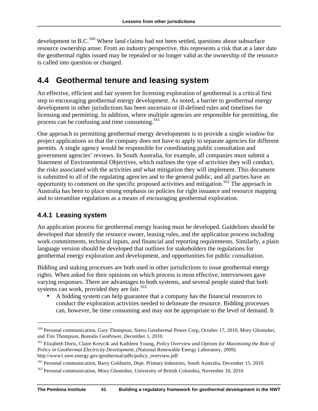<span id="page-40-0"></span>development in B.C.<sup>160</sup> Where land claims had not been settled, questions about subsurface resource ownership arose. From an industry perspective, this represents a risk that at a later date the geothermal rights issued may be repealed or no longer valid as the ownership of the resource is called into question or changed.

## **4.4 Geothermal tenure and leasing system**

An effective, efficient and fair system for licensing exploration of geothermal is a critical first step to encouraging geothermal energy development. As noted, a barrier to geothermal energy development in other jurisdictions has been uncertain or ill-defined rules and timelines for licensing and permitting. In addition, where multiple agencies are responsible for permitting, the process can be confusing and time consuming.<sup>161</sup>

One approach to permitting geothermal energy developments is to provide a single window for project applications so that the company does not have to apply to separate agencies for different permits. A single agency would be responsible for coordinating public consultation and government agencies' reviews. In South Australia, for example, all companies must submit a Statement of Environmental Objectives, which outlines the type of activities they will conduct, the risks associated with the activities and what mitigation they will implement. This document is submitted to all of the regulating agencies and to the general public, and all parties have an opportunity to comment on the specific proposed activities and mitigation.<sup>162</sup> The approach in Australia has been to place strong emphasis on policies for right issuance and resource mapping and to streamline regulations as a means of encouraging geothermal exploration.

#### **4.4.1 Leasing system**

 $\overline{a}$ 

An application process for geothermal energy leasing must be developed. Guidelines should be developed that identify the resource owner, leasing rules, and the application process including work commitments, technical inputs, and financial and reporting requirements. Similarly, a plain language version should be developed that outlines for stakeholders the regulations for geothermal energy exploration and development, and opportunities for public consultation.

Bidding and staking processes are both used in other jurisdictions to issue geothermal energy rights. When asked for their opinions on which process is most effective, interviewees gave varying responses. There are advantages to both systems, and several people stated that both systems can work, provided they are fair.<sup>163</sup>

• A bidding system can help guarantee that a company has the financial resources to conduct the exploration activities needed to delineate the resource. Bidding processes can, however, be time consuming and may not be appropriate to the level of demand. It

<sup>&</sup>lt;sup>160</sup> Personal communication, Gary Thompson, Sierra Geothermal Power Corp, October 17, 2010, Mory Ghomshei, and Tim Thompson, Borealis GeoPower, December 1, 2010.

<sup>161</sup> Elizabeth Doris, Claire Kreycik and Kathleen Young, *Policy Overview and Options for Maximizing the Role of Policy in Geothermal Electricity Development,* (National Renewable Energy Laboratory, 2009). http://www1.eere.energy.gov/geothermal/pdfs/policy\_overview.pdf

<sup>&</sup>lt;sup>162</sup> Personal communication, Barry Goldstein, Dept. Primary Industries, South Australia, December 15, 2010.

<sup>&</sup>lt;sup>163</sup> Personal communication, Mory Ghomshei, University of British Columbia, November 10, 2010.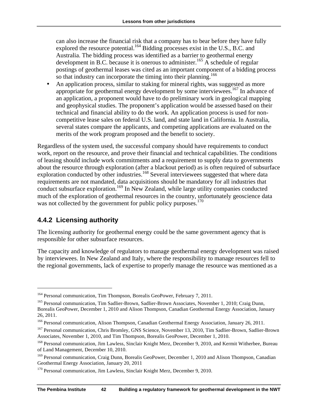can also increase the financial risk that a company has to bear before they have fully explored the resource potential.<sup>164</sup> Bidding processes exist in the U.S., B.C. and Australia. The bidding process was identified as a barrier to geothermal energy development in B.C. because it is onerous to administer.<sup>165</sup> A schedule of regular postings of geothermal leases was cited as an important component of a bidding process so that industry can incorporate the timing into their planning.<sup>166</sup>

• An application process, similar to staking for mineral rights, was suggested as more appropriate for geothermal energy development by some interviewees.<sup>167</sup> In advance of an application, a proponent would have to do preliminary work in geological mapping and geophysical studies. The proponent's application would be assessed based on their technical and financial ability to do the work. An application process is used for noncompetitive lease sales on federal U.S. land, and state land in California. In Australia, several states compare the applicants, and competing applications are evaluated on the merits of the work program proposed and the benefit to society.

Regardless of the system used, the successful company should have requirements to conduct work, report on the resource, and prove their financial and technical capabilities. The conditions of leasing should include work commitments and a requirement to supply data to governments about the resource through exploration (after a blackout period) as is often required of subsurface exploration conducted by other industries.<sup>168</sup> Several interviewees suggested that where data requirements are not mandated, data acquisitions should be mandatory for all industries that conduct subsurface exploration.<sup>169</sup> In New Zealand, while large utility companies conducted much of the exploration of geothermal resources in the country, unfortunately geoscience data was not collected by the government for public policy purposes.<sup>170</sup>

#### **4.4.2 Licensing authority**

 $\overline{a}$ 

The licensing authority for geothermal energy could be the same government agency that is responsible for other subsurface resources.

The capacity and knowledge of regulators to manage geothermal energy development was raised by interviewees. In New Zealand and Italy, where the responsibility to manage resources fell to the regional governments, lack of expertise to properly manage the resource was mentioned as a

<sup>164</sup> Personal communication, Tim Thompson, Borealis GeoPower, February 7, 2011.

<sup>&</sup>lt;sup>165</sup> Personal communication, Tim Sadlier-Brown, Sadlier-Brown Associates, November 1, 2010; Craig Dunn, Borealis GeoPower, December 1, 2010 and Alison Thompson, Canadian Geothermal Energy Association, January 26, 2011.

<sup>&</sup>lt;sup>166</sup> Personal communication, Alison Thompson, Canadian Geothermal Energy Association, January 26, 2011.

<sup>167</sup> Personal communication, Chris Bromley, GNS Science, November 13, 2010, Tim Sadlier-Brown, Sadlier-Brown Associates, November 1, 2010, and Tim Thompson, Borealis GeoPower, December 1, 2010.

<sup>&</sup>lt;sup>168</sup> Personal communication, Jim Lawless, Sinclair Knight Merz, December 9, 2010, and Kermit Witherbee, Bureau of Land Management, December 10, 2010.

<sup>&</sup>lt;sup>169</sup> Personal communication, Craig Dunn, Borealis GeoPower, December 1, 2010 and Alison Thompson, Canadian Geothermal Energy Association, January 20, 2011

<sup>&</sup>lt;sup>170</sup> Personal communication, Jim Lawless, Sinclair Knight Merz, December 9, 2010.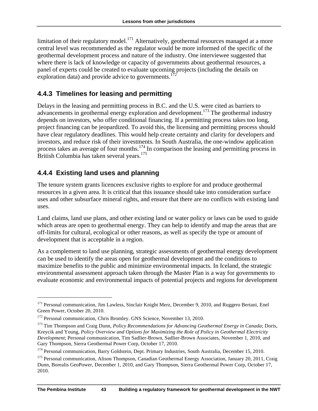limitation of their regulatory model.<sup>171</sup> Alternatively, geothermal resources managed at a more central level was recommended as the regulator would be more informed of the specific of the geothermal development process and nature of the industry. One interviewee suggested that where there is lack of knowledge or capacity of governments about geothermal resources, a panel of experts could be created to evaluate upcoming projects (including the details on exploration data) and provide advice to governments.<sup>172</sup>

#### **4.4.3 Timelines for leasing and permitting**

Delays in the leasing and permitting process in B.C. and the U.S. were cited as barriers to advancements in geothermal energy exploration and development.<sup>173</sup> The geothermal industry depends on investors, who offer conditional financing. If a permitting process takes too long, project financing can be jeopardized. To avoid this, the licensing and permitting process should have clear regulatory deadlines. This would help create certainty and clarity for developers and investors, and reduce risk of their investments. In South Australia, the one-window application process takes an average of four months.<sup>174</sup> In comparison the leasing and permitting process in British Columbia has taken several years.<sup>175</sup>

#### **4.4.4 Existing land uses and planning**

 $\overline{a}$ 

The tenure system grants licencees exclusive rights to explore for and produce geothermal resources in a given area. It is critical that this issuance should take into consideration surface uses and other subsurface mineral rights, and ensure that there are no conflicts with existing land uses.

Land claims, land use plans, and other existing land or water policy or laws can be used to guide which areas are open to geothermal energy. They can help to identify and map the areas that are off-limits for cultural, ecological or other reasons, as well as specify the type or amount of development that is acceptable in a region.

As a complement to land use planning, strategic assessments of geothermal energy development can be used to identify the areas open for geothermal development and the conditions to maximize benefits to the public and minimize environmental impacts. In Iceland, the strategic environmental assessment approach taken through the Master Plan is a way for governments to evaluate economic and environmental impacts of potential projects and regions for development

<sup>&</sup>lt;sup>171</sup> Personal communication, Jim Lawless, Sinclair Knight Merz, December 9, 2010, and Ruggero Bertani, Enel Green Power, October 20, 2010.

<sup>&</sup>lt;sup>172</sup> Personal communication, Chris Bromley. GNS Science, November 13, 2010.

<sup>173</sup> Tim Thompson and Craig Dunn, *Policy Recommendations for Advancing Geothermal Energy in Canada*; Doris, Kreycik and Young, *Policy Overview and Options for Maximizing the Role of Policy in Geothermal Electricity Development*; Personal communication, Tim Sadlier-Brown, Sadlier-Brown Associates, November 1, 2010, and Gary Thompson, Sierra Geothermal Power Corp, October 17, 2010.

<sup>&</sup>lt;sup>174</sup> Personal communication, Barry Goldstein, Dept. Primary Industries, South Australia, December 15, 2010.

<sup>&</sup>lt;sup>175</sup> Personal communication, Alison Thompson, Canadian Geothermal Energy Association, January 20, 2011, Craig Dunn, Borealis GeoPower, December 1, 2010, and Gary Thompson, Sierra Geothermal Power Corp, October 17, 2010.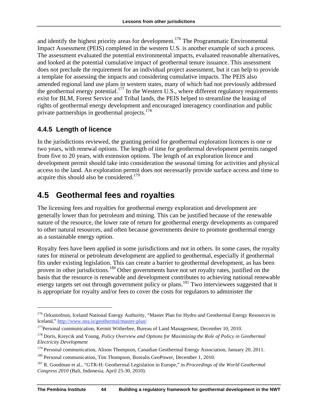<span id="page-43-0"></span>and identify the highest priority areas for development.<sup>176</sup> The Programmatic Environmental Impact Assessment (PEIS) completed in the western U.S. is another example of such a process. The assessment evaluated the potential environmental impacts, evaluated reasonable alternatives, and looked at the potential cumulative impact of geothermal tenure issuance. This assessment does not preclude the requirement for an individual project assessment, but it can help to provide a template for assessing the impacts and considering cumulative impacts. The PEIS also amended regional land use plans in western states, many of which had not previously addressed the geothermal energy potential.<sup>177</sup> In the Western U.S., where different regulatory requirements exist for BLM, Forest Service and Tribal lands, the PEIS helped to streamline the leasing of rights of geothermal energy development and encouraged interagency coordination and public private partnerships in geothermal projects.178

#### **4.4.5 Length of licence**

1

In the jurisdictions reviewed, the granting period for geothermal exploration licences is one or two years, with renewal options. The length of time for geothermal development permits ranged from five to 20 years, with extension options. The length of an exploration licence and development permit should take into consideration the seasonal timing for activities and physical access to the land. An exploration permit does not necessarily provide surface access and time to acquire this should also be considered.<sup>179</sup>

## **4.5 Geothermal fees and royalties**

The licensing fees and royalties for geothermal energy exploration and development are generally lower than for petroleum and mining. This can be justified because of the renewable nature of the resource, the lower rate of return for geothermal energy developments as compared to other natural resources, and often because governments desire to promote geothermal energy as a sustainable energy option.

Royalty fees have been applied in some jurisdictions and not in others. In some cases, the royalty rates for mineral or petroleum development are applied to geothermal, especially if geothermal fits under existing legislation. This can create a barrier to geothermal development, as has been proven in other jurisdictions.<sup>180</sup> Other governments have not set royalty rates, justified on the basis that the resource is renewable and development contributes to achieving national renewable energy targets set out through government policy or plans.<sup>181</sup> Two interviewees suggested that it is appropriate for royalty and/or fees to cover the costs for regulators to administer the

<sup>&</sup>lt;sup>176</sup> Orkustofnun, Iceland National Energy Authority, "Master Plan for Hydro and Geothermal Energy Resources in Iceland," http://www.nea.is/geothermal/master-plan/

<sup>&</sup>lt;sup>177</sup>Personal communication, Kermit Witherbee, Bureau of Land Management, December 10, 2010.

<sup>178</sup> Doris, Kreycik and Young, *Policy Overview and Options for Maximizing the Role of Policy in Geothermal Electricity Development*

<sup>&</sup>lt;sup>179</sup> Personal communication, Alison Thompson, Canadian Geothermal Energy Association, January 20, 2011.<br><sup>180</sup> Personal communication, Tim Thompson, Borealis GeoPower, December 1, 2010.

<sup>181</sup> R. Goodman et al., "GTR-H: Geothermal Legislation in Europe," in *Proceedings of the World Geothermal Congress 2010* (Bali, Indonesia, April 25-30, 2010).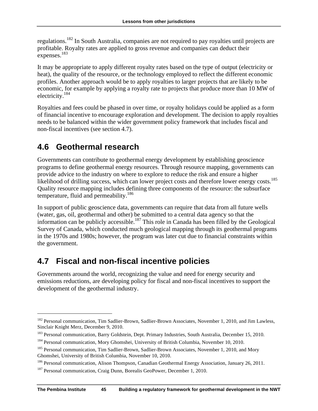<span id="page-44-0"></span>regulations.182 In South Australia, companies are not required to pay royalties until projects are profitable. Royalty rates are applied to gross revenue and companies can deduct their expenses.183

It may be appropriate to apply different royalty rates based on the type of output (electricity or heat), the quality of the resource, or the technology employed to reflect the different economic profiles. Another approach would be to apply royalties to larger projects that are likely to be economic, for example by applying a royalty rate to projects that produce more than 10 MW of electricity.184

Royalties and fees could be phased in over time, or royalty holidays could be applied as a form of financial incentive to encourage exploration and development. The decision to apply royalties needs to be balanced within the wider government policy framework that includes fiscal and non-fiscal incentives (see section 4.7).

### **4.6 Geothermal research**

 $\overline{a}$ 

Governments can contribute to geothermal energy development by establishing geoscience programs to define geothermal energy resources. Through resource mapping, governments can provide advice to the industry on where to explore to reduce the risk and ensure a higher likelihood of drilling success, which can lower project costs and therefore lower energy costs.<sup>185</sup> Quality resource mapping includes defining three components of the resource: the subsurface temperature, fluid and permeability.<sup>186</sup>

In support of public geoscience data, governments can require that data from all future wells (water, gas, oil, geothermal and other) be submitted to a central data agency so that the information can be publicly accessible.187 This role in Canada has been filled by the Geological Survey of Canada, which conducted much geological mapping through its geothermal programs in the 1970s and 1980s; however, the program was later cut due to financial constraints within the government.

## **4.7 Fiscal and non-fiscal incentive policies**

Governments around the world, recognizing the value and need for energy security and emissions reductions, are developing policy for fiscal and non-fiscal incentives to support the development of the geothermal industry.

<sup>&</sup>lt;sup>182</sup> Personal communication, Tim Sadlier-Brown, Sadlier-Brown Associates, November 1, 2010, and Jim Lawless, Sinclair Knight Merz, December 9, 2010.

<sup>&</sup>lt;sup>183</sup> Personal communication, Barry Goldstein, Dept. Primary Industries, South Australia, December 15, 2010.

<sup>&</sup>lt;sup>184</sup> Personal communication, Mory Ghomshei, University of British Columbia, November 10, 2010.

<sup>&</sup>lt;sup>185</sup> Personal communication, Tim Sadlier-Brown, Sadlier-Brown Associates, November 1, 2010, and Mory Ghomshei, University of British Columbia, November 10, 2010.

<sup>&</sup>lt;sup>186</sup> Personal communication, Alison Thompson, Canadian Geothermal Energy Association, January 26, 2011.

<sup>&</sup>lt;sup>187</sup> Personal communication, Craig Dunn, Borealis GeoPower, December 1, 2010.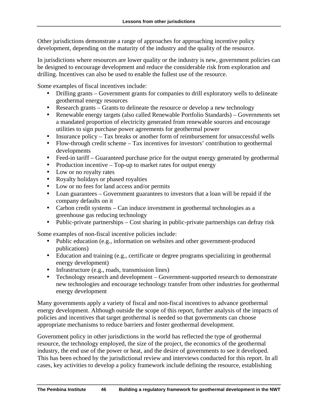Other jurisdictions demonstrate a range of approaches for approaching incentive policy development, depending on the maturity of the industry and the quality of the resource.

In jurisdictions where resources are lower quality or the industry is new, government policies can be designed to encourage development and reduce the considerable risk from exploration and drilling. Incentives can also be used to enable the fullest use of the resource.

Some examples of fiscal incentives include:

- Drilling grants Government grants for companies to drill exploratory wells to delineate geothermal energy resources
- Research grants Grants to delineate the resource or develop a new technology
- Renewable energy targets (also called Renewable Portfolio Standards) Governments set a mandated proportion of electricity generated from renewable sources and encourage utilities to sign purchase power agreements for geothermal power
- Insurance policy Tax breaks or another form of reimbursement for unsuccessful wells
- Flow-through credit scheme Tax incentives for investors' contribution to geothermal developments
- Feed-in tariff Guaranteed purchase price for the output energy generated by geothermal
- Production incentive Top-up to market rates for output energy
- Low or no royalty rates
- Royalty holidays or phased royalties
- Low or no fees for land access and/or permits
- Loan guarantees Government guarantees to investors that a loan will be repaid if the company defaults on it
- Carbon credit systems Can induce investment in geothermal technologies as a greenhouse gas reducing technology
- Public-private partnerships Cost sharing in public-private partnerships can defray risk

Some examples of non-fiscal incentive policies include:

- Public education (e.g., information on websites and other government-produced publications)
- Education and training (e.g., certificate or degree programs specializing in geothermal energy development)
- Infrastructure (e.g., roads, transmission lines)
- Technology research and development Government-supported research to demonstrate new technologies and encourage technology transfer from other industries for geothermal energy development

Many governments apply a variety of fiscal and non-fiscal incentives to advance geothermal energy development. Although outside the scope of this report, further analysis of the impacts of policies and incentives that target geothermal is needed so that governments can choose appropriate mechanisms to reduce barriers and foster geothermal development.

Government policy in other jurisdictions in the world has reflected the type of geothermal resource, the technology employed, the size of the project, the economics of the geothermal industry, the end use of the power or heat, and the desire of governments to see it developed. This has been echoed by the jurisdictional review and interviews conducted for this report. In all cases, key activities to develop a policy framework include defining the resource, establishing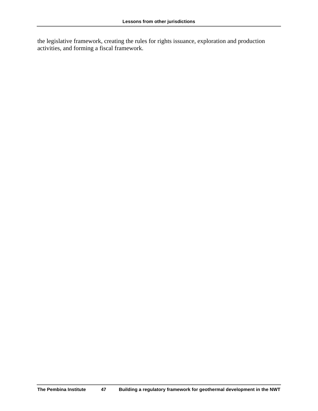the legislative framework, creating the rules for rights issuance, exploration and production activities, and forming a fiscal framework.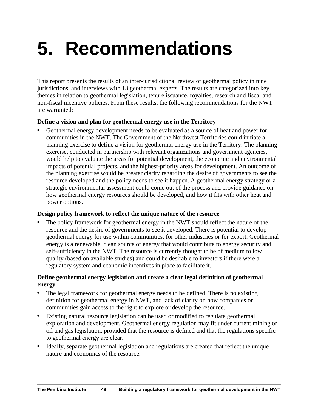## <span id="page-47-0"></span>**5. Recommendations**

This report presents the results of an inter-jurisdictional review of geothermal policy in nine jurisdictions, and interviews with 13 geothermal experts. The results are categorized into key themes in relation to geothermal legislation, tenure issuance, royalties, research and fiscal and non-fiscal incentive policies. From these results, the following recommendations for the NWT are warranted:

#### **Define a vision and plan for geothermal energy use in the Territory**

• Geothermal energy development needs to be evaluated as a source of heat and power for communities in the NWT. The Government of the Northwest Territories could initiate a planning exercise to define a vision for geothermal energy use in the Territory. The planning exercise, conducted in partnership with relevant organizations and government agencies, would help to evaluate the areas for potential development, the economic and environmental impacts of potential projects, and the highest-priority areas for development. An outcome of the planning exercise would be greater clarity regarding the desire of governments to see the resource developed and the policy needs to see it happen. A geothermal energy strategy or a strategic environmental assessment could come out of the process and provide guidance on how geothermal energy resources should be developed, and how it fits with other heat and power options.

#### **Design policy framework to reflect the unique nature of the resource**

The policy framework for geothermal energy in the NWT should reflect the nature of the resource and the desire of governments to see it developed. There is potential to develop geothermal energy for use within communities, for other industries or for export. Geothermal energy is a renewable, clean source of energy that would contribute to energy security and self-sufficiency in the NWT. The resource is currently thought to be of medium to low quality (based on available studies) and could be desirable to investors if there were a regulatory system and economic incentives in place to facilitate it.

#### **Define geothermal energy legislation and create a clear legal definition of geothermal energy**

- The legal framework for geothermal energy needs to be defined. There is no existing definition for geothermal energy in NWT, and lack of clarity on how companies or communities gain access to the right to explore or develop the resource.
- Existing natural resource legislation can be used or modified to regulate geothermal exploration and development. Geothermal energy regulation may fit under current mining or oil and gas legislation, provided that the resource is defined and that the regulations specific to geothermal energy are clear.
- Ideally, separate geothermal legislation and regulations are created that reflect the unique nature and economics of the resource.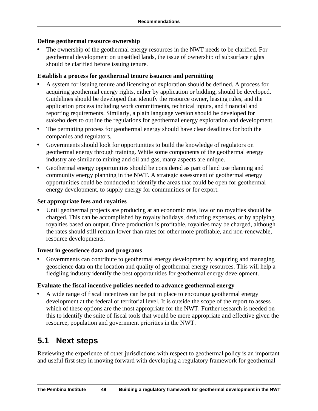#### <span id="page-48-0"></span>**Define geothermal resource ownership**

The ownership of the geothermal energy resources in the NWT needs to be clarified. For geothermal development on unsettled lands, the issue of ownership of subsurface rights should be clarified before issuing tenure.

#### **Establish a process for geothermal tenure issuance and permitting**

- A system for issuing tenure and licensing of exploration should be defined. A process for acquiring geothermal energy rights, either by application or bidding, should be developed. Guidelines should be developed that identify the resource owner, leasing rules, and the application process including work commitments, technical inputs, and financial and reporting requirements. Similarly, a plain language version should be developed for stakeholders to outline the regulations for geothermal energy exploration and development.
- The permitting process for geothermal energy should have clear deadlines for both the companies and regulators.
- Governments should look for opportunities to build the knowledge of regulators on geothermal energy through training. While some components of the geothermal energy industry are similar to mining and oil and gas, many aspects are unique.
- Geothermal energy opportunities should be considered as part of land use planning and community energy planning in the NWT. A strategic assessment of geothermal energy opportunities could be conducted to identify the areas that could be open for geothermal energy development, to supply energy for communities or for export.

#### **Set appropriate fees and royalties**

• Until geothermal projects are producing at an economic rate, low or no royalties should be charged. This can be accomplished by royalty holidays, deducting expenses, or by applying royalties based on output. Once production is profitable, royalties may be charged, although the rates should still remain lower than rates for other more profitable, and non-renewable, resource developments.

#### **Invest in geoscience data and programs**

• Governments can contribute to geothermal energy development by acquiring and managing geoscience data on the location and quality of geothermal energy resources. This will help a fledgling industry identify the best opportunities for geothermal energy development.

#### **Evaluate the fiscal incentive policies needed to advance geothermal energy**

• A wide range of fiscal incentives can be put in place to encourage geothermal energy development at the federal or territorial level. It is outside the scope of the report to assess which of these options are the most appropriate for the NWT. Further research is needed on this to identify the suite of fiscal tools that would be more appropriate and effective given the resource, population and government priorities in the NWT.

#### **5.1 Next steps**

Reviewing the experience of other jurisdictions with respect to geothermal policy is an important and useful first step in moving forward with developing a regulatory framework for geothermal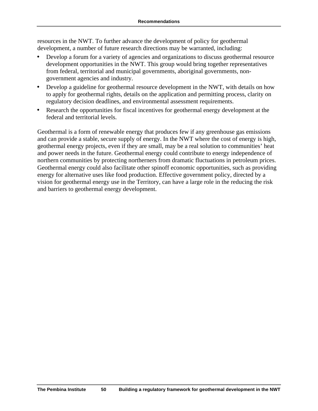resources in the NWT. To further advance the development of policy for geothermal development, a number of future research directions may be warranted, including:

- Develop a forum for a variety of agencies and organizations to discuss geothermal resource development opportunities in the NWT. This group would bring together representatives from federal, territorial and municipal governments, aboriginal governments, nongovernment agencies and industry.
- Develop a guideline for geothermal resource development in the NWT, with details on how to apply for geothermal rights, details on the application and permitting process, clarity on regulatory decision deadlines, and environmental assessment requirements.
- Research the opportunities for fiscal incentives for geothermal energy development at the federal and territorial levels.

Geothermal is a form of renewable energy that produces few if any greenhouse gas emissions and can provide a stable, secure supply of energy. In the NWT where the cost of energy is high, geothermal energy projects, even if they are small, may be a real solution to communities' heat and power needs in the future. Geothermal energy could contribute to energy independence of northern communities by protecting northerners from dramatic fluctuations in petroleum prices. Geothermal energy could also facilitate other spinoff economic opportunities, such as providing energy for alternative uses like food production. Effective government policy, directed by a vision for geothermal energy use in the Territory, can have a large role in the reducing the risk and barriers to geothermal energy development.